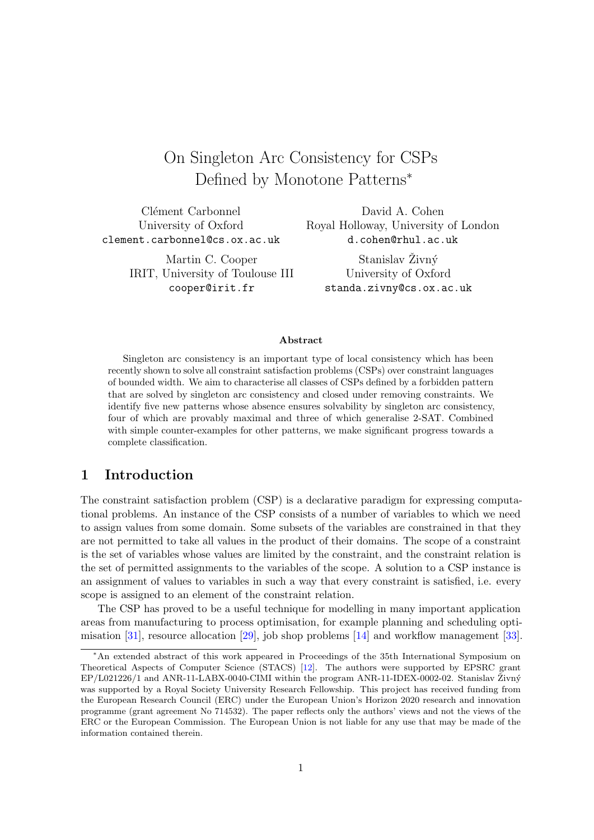# On Singleton Arc Consistency for CSPs Defined by Monotone Patterns<sup>∗</sup>

Clément Carbonnel University of Oxford clement.carbonnel@cs.ox.ac.uk

David A. Cohen Royal Holloway, University of London d.cohen@rhul.ac.uk

Martin C. Cooper IRIT, University of Toulouse III cooper@irit.fr

Stanislav Živný University of Oxford standa.zivny@cs.ox.ac.uk

#### Abstract

Singleton arc consistency is an important type of local consistency which has been recently shown to solve all constraint satisfaction problems (CSPs) over constraint languages of bounded width. We aim to characterise all classes of CSPs defined by a forbidden pattern that are solved by singleton arc consistency and closed under removing constraints. We identify five new patterns whose absence ensures solvability by singleton arc consistency, four of which are provably maximal and three of which generalise 2-SAT. Combined with simple counter-examples for other patterns, we make significant progress towards a complete classification.

### 1 Introduction

The constraint satisfaction problem (CSP) is a declarative paradigm for expressing computational problems. An instance of the CSP consists of a number of variables to which we need to assign values from some domain. Some subsets of the variables are constrained in that they are not permitted to take all values in the product of their domains. The scope of a constraint is the set of variables whose values are limited by the constraint, and the constraint relation is the set of permitted assignments to the variables of the scope. A solution to a CSP instance is an assignment of values to variables in such a way that every constraint is satisfied, i.e. every scope is assigned to an element of the constraint relation.

The CSP has proved to be a useful technique for modelling in many important application areas from manufacturing to process optimisation, for example planning and scheduling optimisation [\[31\]](#page-27-0), resource allocation [\[29\]](#page-27-1), job shop problems [\[14\]](#page-25-0) and workflow management [\[33\]](#page-27-2).

<sup>∗</sup>An extended abstract of this work appeared in Proceedings of the 35th International Symposium on Theoretical Aspects of Computer Science (STACS) [\[12\]](#page-25-1). The authors were supported by EPSRC grant  $EP/L021226/1$  and ANR-11-LABX-0040-CIMI within the program ANR-11-IDEX-0002-02. Stanislav  $\dot{Z}$ ivný was supported by a Royal Society University Research Fellowship. This project has received funding from the European Research Council (ERC) under the European Union's Horizon 2020 research and innovation programme (grant agreement No 714532). The paper reflects only the authors' views and not the views of the ERC or the European Commission. The European Union is not liable for any use that may be made of the information contained therein.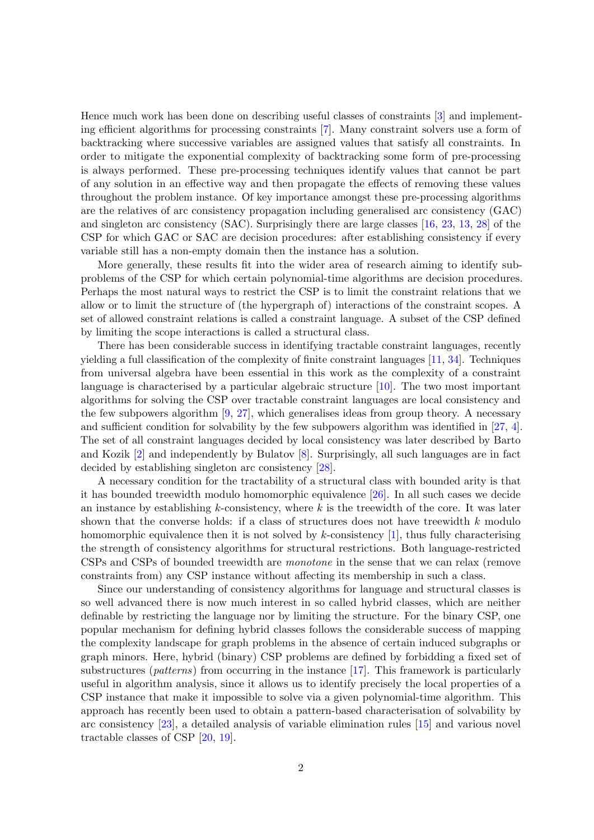Hence much work has been done on describing useful classes of constraints [\[3\]](#page-25-2) and implementing efficient algorithms for processing constraints [\[7\]](#page-25-3). Many constraint solvers use a form of backtracking where successive variables are assigned values that satisfy all constraints. In order to mitigate the exponential complexity of backtracking some form of pre-processing is always performed. These pre-processing techniques identify values that cannot be part of any solution in an effective way and then propagate the effects of removing these values throughout the problem instance. Of key importance amongst these pre-processing algorithms are the relatives of arc consistency propagation including generalised arc consistency (GAC) and singleton arc consistency (SAC). Surprisingly there are large classes [\[16,](#page-26-0) [23,](#page-26-1) [13,](#page-25-4) [28\]](#page-26-2) of the CSP for which GAC or SAC are decision procedures: after establishing consistency if every variable still has a non-empty domain then the instance has a solution.

More generally, these results fit into the wider area of research aiming to identify subproblems of the CSP for which certain polynomial-time algorithms are decision procedures. Perhaps the most natural ways to restrict the CSP is to limit the constraint relations that we allow or to limit the structure of (the hypergraph of) interactions of the constraint scopes. A set of allowed constraint relations is called a constraint language. A subset of the CSP defined by limiting the scope interactions is called a structural class.

There has been considerable success in identifying tractable constraint languages, recently yielding a full classification of the complexity of finite constraint languages [\[11,](#page-25-5) [34\]](#page-27-3). Techniques from universal algebra have been essential in this work as the complexity of a constraint language is characterised by a particular algebraic structure [\[10\]](#page-25-6). The two most important algorithms for solving the CSP over tractable constraint languages are local consistency and the few subpowers algorithm  $[9, 27]$  $[9, 27]$  $[9, 27]$ , which generalises ideas from group theory. A necessary and sufficient condition for solvability by the few subpowers algorithm was identified in [\[27,](#page-26-3) [4\]](#page-25-8). The set of all constraint languages decided by local consistency was later described by Barto and Kozik [\[2\]](#page-25-9) and independently by Bulatov [\[8\]](#page-25-10). Surprisingly, all such languages are in fact decided by establishing singleton arc consistency [\[28\]](#page-26-2).

A necessary condition for the tractability of a structural class with bounded arity is that it has bounded treewidth modulo homomorphic equivalence [\[26\]](#page-26-4). In all such cases we decide an instance by establishing  $k$ -consistency, where  $k$  is the treewidth of the core. It was later shown that the converse holds: if a class of structures does not have treewidth  $k$  modulo homomorphic equivalence then it is not solved by k-consistency  $[1]$ , thus fully characterising the strength of consistency algorithms for structural restrictions. Both language-restricted CSPs and CSPs of bounded treewidth are monotone in the sense that we can relax (remove constraints from) any CSP instance without affecting its membership in such a class.

Since our understanding of consistency algorithms for language and structural classes is so well advanced there is now much interest in so called hybrid classes, which are neither definable by restricting the language nor by limiting the structure. For the binary CSP, one popular mechanism for defining hybrid classes follows the considerable success of mapping the complexity landscape for graph problems in the absence of certain induced subgraphs or graph minors. Here, hybrid (binary) CSP problems are defined by forbidding a fixed set of substructures (patterns) from occurring in the instance [\[17\]](#page-26-5). This framework is particularly useful in algorithm analysis, since it allows us to identify precisely the local properties of a CSP instance that make it impossible to solve via a given polynomial-time algorithm. This approach has recently been used to obtain a pattern-based characterisation of solvability by arc consistency [\[23\]](#page-26-1), a detailed analysis of variable elimination rules [\[15\]](#page-26-6) and various novel tractable classes of CSP [\[20,](#page-26-7) [19\]](#page-26-8).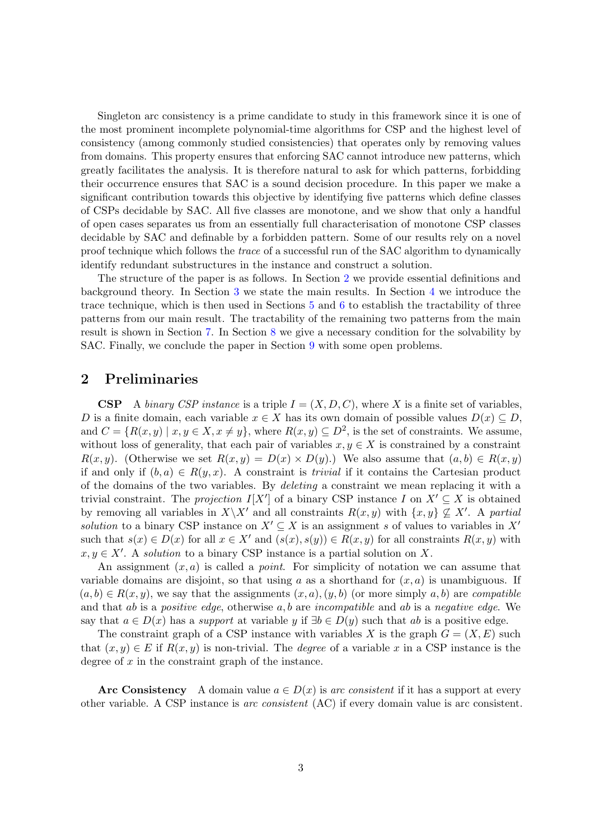Singleton arc consistency is a prime candidate to study in this framework since it is one of the most prominent incomplete polynomial-time algorithms for CSP and the highest level of consistency (among commonly studied consistencies) that operates only by removing values from domains. This property ensures that enforcing SAC cannot introduce new patterns, which greatly facilitates the analysis. It is therefore natural to ask for which patterns, forbidding their occurrence ensures that SAC is a sound decision procedure. In this paper we make a significant contribution towards this objective by identifying five patterns which define classes of CSPs decidable by SAC. All five classes are monotone, and we show that only a handful of open cases separates us from an essentially full characterisation of monotone CSP classes decidable by SAC and definable by a forbidden pattern. Some of our results rely on a novel proof technique which follows the trace of a successful run of the SAC algorithm to dynamically identify redundant substructures in the instance and construct a solution.

The structure of the paper is as follows. In Section [2](#page-2-0) we provide essential definitions and background theory. In Section [3](#page-4-0) we state the main results. In Section [4](#page-6-0) we introduce the trace technique, which is then used in Sections [5](#page-7-0) and [6](#page-10-0) to establish the tractability of three patterns from our main result. The tractability of the remaining two patterns from the main result is shown in Section [7.](#page-16-0) In Section [8](#page-20-0) we give a necessary condition for the solvability by SAC. Finally, we conclude the paper in Section [9](#page-24-0) with some open problems.

#### <span id="page-2-0"></span>2 Preliminaries

CSP A binary CSP instance is a triple  $I = (X, D, C)$ , where X is a finite set of variables, D is a finite domain, each variable  $x \in X$  has its own domain of possible values  $D(x) \subset D$ , and  $C = \{R(x, y) \mid x, y \in X, x \neq y\}$ , where  $R(x, y) \subseteq D^2$ , is the set of constraints. We assume, without loss of generality, that each pair of variables  $x, y \in X$  is constrained by a constraint  $R(x, y)$ . (Otherwise we set  $R(x, y) = D(x) \times D(y)$ .) We also assume that  $(a, b) \in R(x, y)$ if and only if  $(b, a) \in R(y, x)$ . A constraint is *trivial* if it contains the Cartesian product of the domains of the two variables. By deleting a constraint we mean replacing it with a trivial constraint. The projection  $I[X']$  of a binary CSP instance I on  $X' \subseteq X$  is obtained by removing all variables in  $X\backslash X'$  and all constraints  $R(x, y)$  with  $\{x, y\} \nsubseteq X'$ . A partial solution to a binary CSP instance on  $X' \subseteq X$  is an assignment s of values to variables in  $X'$ such that  $s(x) \in D(x)$  for all  $x \in X'$  and  $(s(x), s(y)) \in R(x, y)$  for all constraints  $R(x, y)$  with  $x, y \in X'$ . A solution to a binary CSP instance is a partial solution on X.

An assignment  $(x, a)$  is called a *point*. For simplicity of notation we can assume that variable domains are disjoint, so that using a as a shorthand for  $(x, a)$  is unambiguous. If  $(a, b) \in R(x, y)$ , we say that the assignments  $(x, a), (y, b)$  (or more simply  $a, b$ ) are *compatible* and that ab is a positive edge, otherwise  $a, b$  are incompatible and ab is a negative edge. We say that  $a \in D(x)$  has a *support* at variable y if  $\exists b \in D(y)$  such that ab is a positive edge.

The constraint graph of a CSP instance with variables X is the graph  $G = (X, E)$  such that  $(x, y) \in E$  if  $R(x, y)$  is non-trivial. The *degree* of a variable x in a CSP instance is the degree of  $x$  in the constraint graph of the instance.

Arc Consistency A domain value  $a \in D(x)$  is arc consistent if it has a support at every other variable. A CSP instance is arc consistent (AC) if every domain value is arc consistent.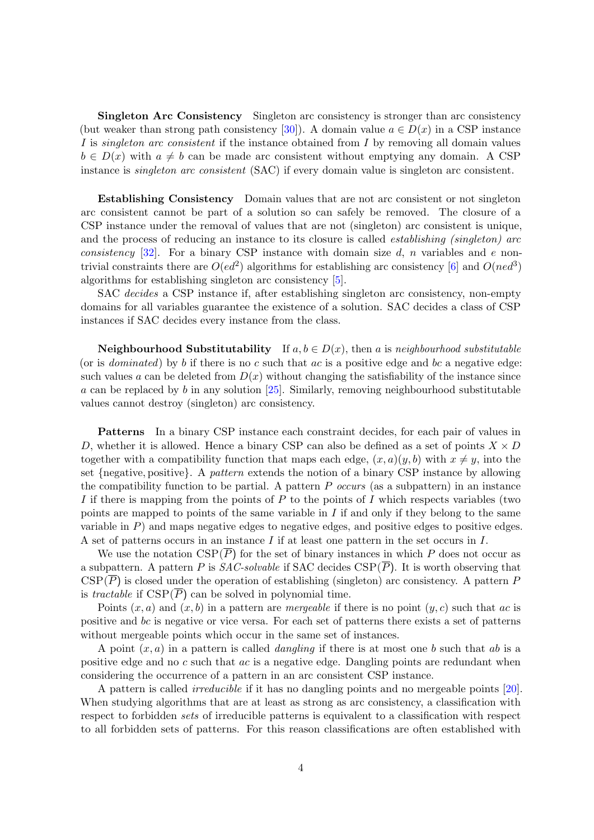Singleton Arc Consistency Singleton arc consistency is stronger than arc consistency (but weaker than strong path consistency [\[30\]](#page-27-4)). A domain value  $a \in D(x)$  in a CSP instance I is *singleton arc consistent* if the instance obtained from I by removing all domain values  $b \in D(x)$  with  $a \neq b$  can be made arc consistent without emptying any domain. A CSP instance is *singleton arc consistent* (SAC) if every domain value is singleton arc consistent.

Establishing Consistency Domain values that are not arc consistent or not singleton arc consistent cannot be part of a solution so can safely be removed. The closure of a CSP instance under the removal of values that are not (singleton) arc consistent is unique, and the process of reducing an instance to its closure is called *establishing (singleton)* arc consistency  $[32]$ . For a binary CSP instance with domain size d, n variables and e nontrivial constraints there are  $O(ed^2)$  algorithms for establishing arc consistency [\[6\]](#page-25-12) and  $O(ned^3)$ algorithms for establishing singleton arc consistency [\[5\]](#page-25-13).

SAC decides a CSP instance if, after establishing singleton arc consistency, non-empty domains for all variables guarantee the existence of a solution. SAC decides a class of CSP instances if SAC decides every instance from the class.

**Neighbourhood Substitutability** If  $a, b \in D(x)$ , then a is neighbourhood substitutable (or is *dominated*) by b if there is no c such that  $ac$  is a positive edge and bc a negative edge: such values a can be deleted from  $D(x)$  without changing the satisfiability of the instance since a can be replaced by b in any solution  $[25]$ . Similarly, removing neighbourhood substitutable values cannot destroy (singleton) arc consistency.

Patterns In a binary CSP instance each constraint decides, for each pair of values in D, whether it is allowed. Hence a binary CSP can also be defined as a set of points  $X \times D$ together with a compatibility function that maps each edge,  $(x, a)(y, b)$  with  $x \neq y$ , into the set {negative, positive}. A pattern extends the notion of a binary CSP instance by allowing the compatibility function to be partial. A pattern  $P$  occurs (as a subpattern) in an instance I if there is mapping from the points of P to the points of I which respects variables (two points are mapped to points of the same variable in  $I$  if and only if they belong to the same variable in  $P$ ) and maps negative edges to negative edges, and positive edges to positive edges. A set of patterns occurs in an instance  $I$  if at least one pattern in the set occurs in  $I$ .

We use the notation  $CSP(\overline{P})$  for the set of binary instances in which P does not occur as a subpattern. A pattern P is  $SAC-solvable$  if SAC decides  $CSP(\overline{P})$ . It is worth observing that  $CSP(\overline{P})$  is closed under the operation of establishing (singleton) arc consistency. A pattern P is tractable if  $CSP(\overline{P})$  can be solved in polynomial time.

Points  $(x, a)$  and  $(x, b)$  in a pattern are *mergeable* if there is no point  $(y, c)$  such that ac is positive and bc is negative or vice versa. For each set of patterns there exists a set of patterns without mergeable points which occur in the same set of instances.

A point  $(x, a)$  in a pattern is called *dangling* if there is at most one b such that ab is a positive edge and no  $c$  such that  $ac$  is a negative edge. Dangling points are redundant when considering the occurrence of a pattern in an arc consistent CSP instance.

A pattern is called irreducible if it has no dangling points and no mergeable points [\[20\]](#page-26-7). When studying algorithms that are at least as strong as arc consistency, a classification with respect to forbidden sets of irreducible patterns is equivalent to a classification with respect to all forbidden sets of patterns. For this reason classifications are often established with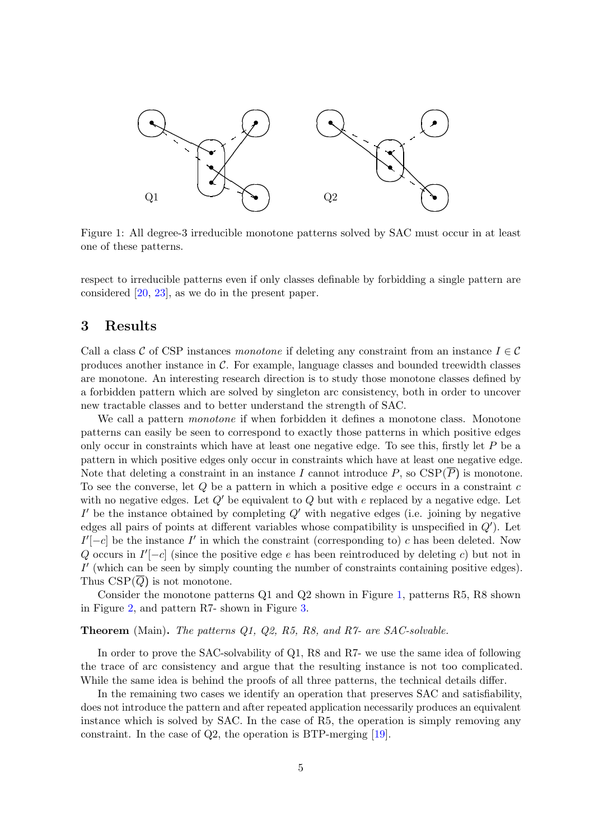

<span id="page-4-1"></span>Figure 1: All degree-3 irreducible monotone patterns solved by SAC must occur in at least one of these patterns.

respect to irreducible patterns even if only classes definable by forbidding a single pattern are considered [\[20,](#page-26-7) [23\]](#page-26-1), as we do in the present paper.

### <span id="page-4-0"></span>3 Results

Call a class C of CSP instances monotone if deleting any constraint from an instance  $I \in \mathcal{C}$ produces another instance in C. For example, language classes and bounded treewidth classes are monotone. An interesting research direction is to study those monotone classes defined by a forbidden pattern which are solved by singleton arc consistency, both in order to uncover new tractable classes and to better understand the strength of SAC.

We call a pattern *monotone* if when forbidden it defines a monotone class. Monotone patterns can easily be seen to correspond to exactly those patterns in which positive edges only occur in constraints which have at least one negative edge. To see this, firstly let  $P$  be a pattern in which positive edges only occur in constraints which have at least one negative edge. Note that deleting a constraint in an instance I cannot introduce  $P$ , so  $CSP(P)$  is monotone. To see the converse, let  $Q$  be a pattern in which a positive edge e occurs in a constraint  $c$ with no negative edges. Let  $Q'$  be equivalent to Q but with e replaced by a negative edge. Let  $I'$  be the instance obtained by completing  $Q'$  with negative edges (i.e. joining by negative edges all pairs of points at different variables whose compatibility is unspecified in  $Q'$ ). Let  $I'[-c]$  be the instance  $I'$  in which the constraint (corresponding to) c has been deleted. Now Q occurs in  $I'[-c]$  (since the positive edge e has been reintroduced by deleting c) but not in  $I'$  (which can be seen by simply counting the number of constraints containing positive edges). Thus  $CSP(Q)$  is not monotone.

Consider the monotone patterns  $Q1$  and  $Q2$  shown in Figure [1,](#page-4-1) patterns R5, R8 shown in Figure [2,](#page-5-0) and pattern R7- shown in Figure [3.](#page-5-1)

#### Theorem (Main). The patterns Q1, Q2, R5, R8, and R7- are SAC-solvable.

In order to prove the SAC-solvability of Q1, R8 and R7- we use the same idea of following the trace of arc consistency and argue that the resulting instance is not too complicated. While the same idea is behind the proofs of all three patterns, the technical details differ.

In the remaining two cases we identify an operation that preserves SAC and satisfiability, does not introduce the pattern and after repeated application necessarily produces an equivalent instance which is solved by SAC. In the case of R5, the operation is simply removing any constraint. In the case of Q2, the operation is BTP-merging [\[19\]](#page-26-8).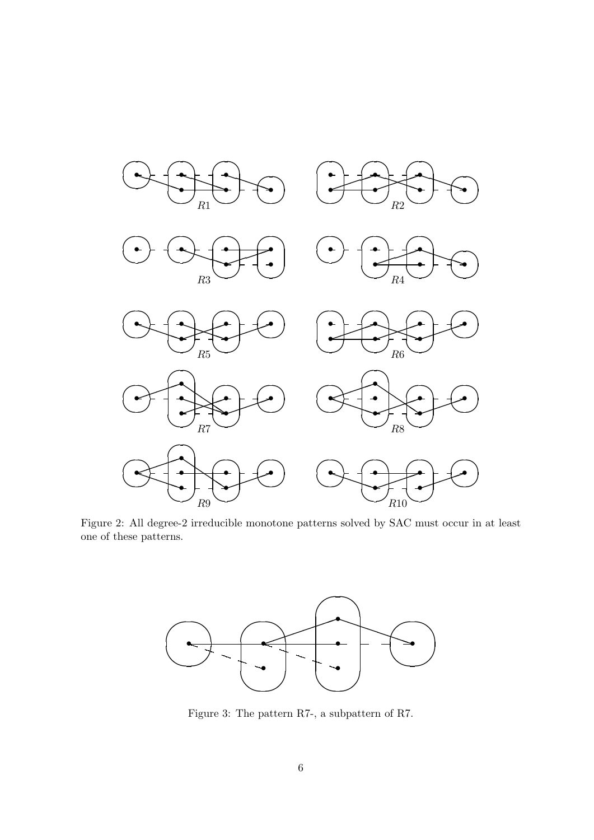

<span id="page-5-0"></span>Figure 2: All degree-2 irreducible monotone patterns solved by SAC must occur in at least one of these patterns.



<span id="page-5-1"></span>Figure 3: The pattern R7-, a subpattern of R7.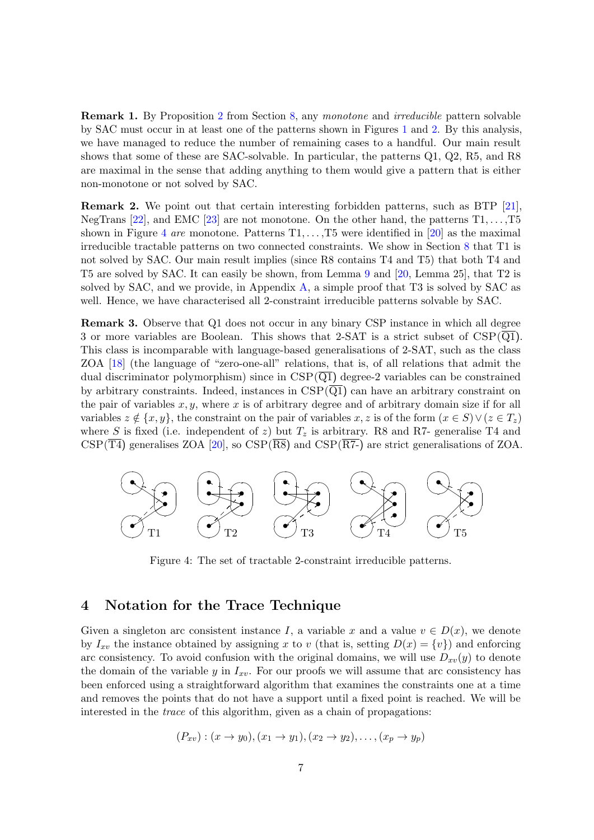**Remark 1.** By Proposition [2](#page-23-0) from Section [8,](#page-20-0) any monotone and *irreducible* pattern solvable by SAC must occur in at least one of the patterns shown in Figures [1](#page-4-1) and [2.](#page-5-0) By this analysis, we have managed to reduce the number of remaining cases to a handful. Our main result shows that some of these are SAC-solvable. In particular, the patterns Q1, Q2, R5, and R8 are maximal in the sense that adding anything to them would give a pattern that is either non-monotone or not solved by SAC.

Remark 2. We point out that certain interesting forbidden patterns, such as BTP [\[21\]](#page-26-10), NegTrans [\[22\]](#page-26-11), and EMC [\[23\]](#page-26-1) are not monotone. On the other hand, the patterns  $T_1, \ldots, T_5$ shown in Figure [4](#page-6-1) are monotone. Patterns  $T_1, \ldots, T_5$  were identified in [\[20\]](#page-26-7) as the maximal irreducible tractable patterns on two connected constraints. We show in Section [8](#page-20-0) that T1 is not solved by SAC. Our main result implies (since R8 contains T4 and T5) that both T4 and T5 are solved by SAC. It can easily be shown, from Lemma [9](#page-16-1) and [\[20,](#page-26-7) Lemma 25], that T2 is solved by SAC, and we provide, in Appendix [A,](#page-27-6) a simple proof that T3 is solved by SAC as well. Hence, we have characterised all 2-constraint irreducible patterns solvable by SAC.

Remark 3. Observe that Q1 does not occur in any binary CSP instance in which all degree 3 or more variables are Boolean. This shows that 2-SAT is a strict subset of  $CSP(\overline{Q1})$ . This class is incomparable with language-based generalisations of 2-SAT, such as the class ZOA [\[18\]](#page-26-12) (the language of "zero-one-all" relations, that is, of all relations that admit the dual discriminator polymorphism) since in  $CSP(\overline{Q1})$  degree-2 variables can be constrained by arbitrary constraints. Indeed, instances in  $CSP(\overline{Q1})$  can have an arbitrary constraint on the pair of variables  $x, y$ , where x is of arbitrary degree and of arbitrary domain size if for all variables  $z \notin \{x, y\}$ , the constraint on the pair of variables  $x, z$  is of the form  $(x \in S) \vee (z \in T_z)$ where S is fixed (i.e. independent of z) but  $T<sub>z</sub>$  is arbitrary. R8 and R7- generalise T4 and  $CSP(\overline{T4})$  generalises ZOA [\[20\]](#page-26-7), so  $CSP(\overline{R8})$  and  $CSP(\overline{R7})$  are strict generalisations of ZOA.



<span id="page-6-1"></span>Figure 4: The set of tractable 2-constraint irreducible patterns.

#### <span id="page-6-0"></span>4 Notation for the Trace Technique

Given a singleton arc consistent instance I, a variable x and a value  $v \in D(x)$ , we denote by  $I_{xv}$  the instance obtained by assigning x to v (that is, setting  $D(x) = \{v\}$ ) and enforcing arc consistency. To avoid confusion with the original domains, we will use  $D_{xv}(y)$  to denote the domain of the variable y in  $I_{x_i}$ . For our proofs we will assume that arc consistency has been enforced using a straightforward algorithm that examines the constraints one at a time and removes the points that do not have a support until a fixed point is reached. We will be interested in the trace of this algorithm, given as a chain of propagations:

$$
(P_{xv}) : (x \to y_0), (x_1 \to y_1), (x_2 \to y_2), \ldots, (x_p \to y_p)
$$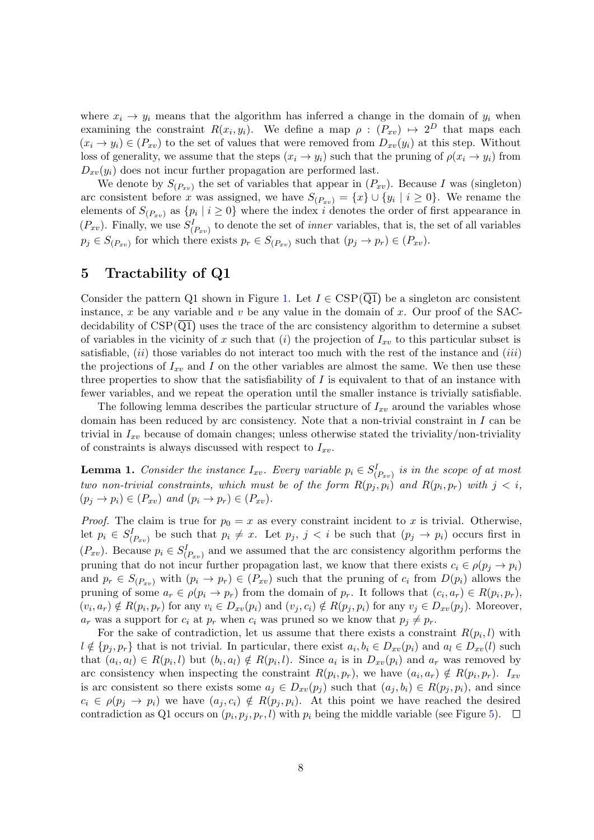where  $x_i \rightarrow y_i$  means that the algorithm has inferred a change in the domain of  $y_i$  when examining the constraint  $R(x_i, y_i)$ . We define a map  $\rho : (P_{xv}) \mapsto 2^D$  that maps each  $(x_i \rightarrow y_i) \in (P_{xy})$  to the set of values that were removed from  $D_{xy}(y_i)$  at this step. Without loss of generality, we assume that the steps  $(x_i \rightarrow y_i)$  such that the pruning of  $\rho(x_i \rightarrow y_i)$  from  $D_{xy}(y_i)$  does not incur further propagation are performed last.

We denote by  $S_{(P_{xv})}$  the set of variables that appear in  $(P_{xv})$ . Because I was (singleton) arc consistent before x was assigned, we have  $S_{(P_{xv})} = \{x\} \cup \{y_i \mid i \ge 0\}$ . We rename the elements of  $S_{(P_{xv})}$  as  $\{p_i \mid i \geq 0\}$  where the index i denotes the order of first appearance in  $(P_{xv})$ . Finally, we use  $S_{(P_{xv})}^I$  to denote the set of *inner* variables, that is, the set of all variables  $p_j \in S_{(P_{xv})}$  for which there exists  $p_r \in S_{(P_{xv})}$  such that  $(p_j \to p_r) \in (P_{xv})$ .

### <span id="page-7-0"></span>5 Tractability of Q1

Consider the pattern Q1 shown in Figure [1.](#page-4-1) Let  $I \in \text{CSP}(\overline{Q1})$  be a singleton arc consistent instance, x be any variable and v be any value in the domain of x. Our proof of the SACdecidability of  $CSP(\overline{Q1})$  uses the trace of the arc consistency algorithm to determine a subset of variables in the vicinity of x such that (i) the projection of  $I_{xv}$  to this particular subset is satisfiable,  $(ii)$  those variables do not interact too much with the rest of the instance and  $(iii)$ the projections of  $I_{xv}$  and I on the other variables are almost the same. We then use these three properties to show that the satisfiability of  $I$  is equivalent to that of an instance with fewer variables, and we repeat the operation until the smaller instance is trivially satisfiable.

The following lemma describes the particular structure of  $I_{xv}$  around the variables whose domain has been reduced by arc consistency. Note that a non-trivial constraint in  $I$  can be trivial in  $I_{xy}$  because of domain changes; unless otherwise stated the triviality/non-triviality of constraints is always discussed with respect to  $I_{xv}$ .

<span id="page-7-1"></span>**Lemma 1.** Consider the instance  $I_{xv}$ . Every variable  $p_i \in S_{(P_{xv})}^I$  is in the scope of at most two non-trivial constraints, which must be of the form  $R(p_j, p_i)$  and  $R(p_i, p_r)$  with  $j < i$ ,  $(p_i \rightarrow p_i) \in (P_{xy})$  and  $(p_i \rightarrow p_r) \in (P_{xy})$ .

*Proof.* The claim is true for  $p_0 = x$  as every constraint incident to x is trivial. Otherwise, let  $p_i \in S_{(P_{xv})}^I$  be such that  $p_i \neq x$ . Let  $p_j$ ,  $j \lt i$  be such that  $(p_j \to p_i)$  occurs first in  $(P_{xv})$ . Because  $p_i \in S_{(P_{xv})}^I$  and we assumed that the arc consistency algorithm performs the pruning that do not incur further propagation last, we know that there exists  $c_i \in \rho(p_j \to p_i)$ and  $p_r \in S_{(P_{xy})}$  with  $(p_i \to p_r) \in (P_{xy})$  such that the pruning of  $c_i$  from  $D(p_i)$  allows the pruning of some  $a_r \in \rho(p_i \to p_r)$  from the domain of  $p_r$ . It follows that  $(c_i, a_r) \in R(p_i, p_r)$ ,  $(v_i, a_r) \notin R(p_i, p_r)$  for any  $v_i \in D_{xv}(p_i)$  and  $(v_j, c_i) \notin R(p_j, p_i)$  for any  $v_j \in D_{xv}(p_j)$ . Moreover,  $a_r$  was a support for  $c_i$  at  $p_r$  when  $c_i$  was pruned so we know that  $p_i \neq p_r$ .

For the sake of contradiction, let us assume that there exists a constraint  $R(p_i, l)$  with  $l \notin \{p_j, p_r\}$  that is not trivial. In particular, there exist  $a_i, b_i \in D_{xv}(p_i)$  and  $a_l \in D_{xv}(l)$  such that  $(a_i, a_l) \in R(p_i, l)$  but  $(b_i, a_l) \notin R(p_i, l)$ . Since  $a_i$  is in  $D_{xv}(p_i)$  and  $a_r$  was removed by arc consistency when inspecting the constraint  $R(p_i, p_r)$ , we have  $(a_i, a_r) \notin R(p_i, p_r)$ .  $I_{xx}$ is arc consistent so there exists some  $a_j \in D_{xv}(p_j)$  such that  $(a_j, b_i) \in R(p_j, p_i)$ , and since  $c_i \in \rho(p_j \to p_i)$  we have  $(a_j, c_i) \notin R(p_j, p_i)$ . At this point we have reached the desired contradiction as Q1 occurs on  $(p_i, p_j, p_r, l)$  with  $p_i$  being the middle variable (see Figure [5\)](#page-8-0).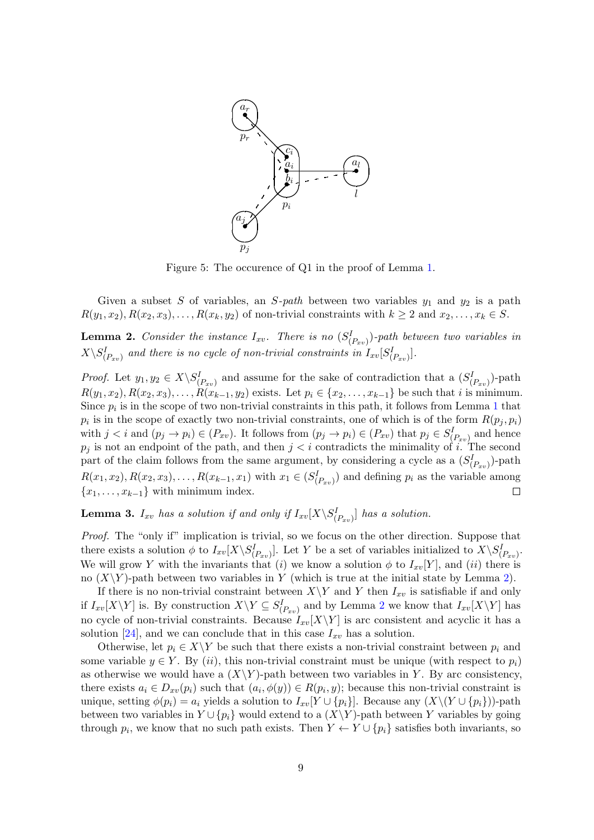

<span id="page-8-0"></span>Figure 5: The occurence of Q1 in the proof of Lemma [1.](#page-7-1)

Given a subset S of variables, an S-path between two variables  $y_1$  and  $y_2$  is a path  $R(y_1, x_2), R(x_2, x_3), \ldots, R(x_k, y_2)$  of non-trivial constraints with  $k \geq 2$  and  $x_2, \ldots, x_k \in S$ .

<span id="page-8-1"></span>**Lemma 2.** Consider the instance  $I_{xv}$ . There is no  $(S_{(P_{xv})}^I)$ -path between two variables in  $X\backslash S^I_{(P_{xv})}$  and there is no cycle of non-trivial constraints in  $I_{xv}[S^I_{(P_{xv})}]$ .

*Proof.* Let  $y_1, y_2 \in X \setminus S_{(P_{xy})}^I$  and assume for the sake of contradiction that a  $(S_{(P_{xy})}^I)$ -path  $R(y_1, x_2), R(x_2, x_3), \ldots, R(x_{k-1}, y_2)$  exists. Let  $p_i \in \{x_2, \ldots, x_{k-1}\}$  be such that i is minimum. Since  $p_i$  is in the scope of two non-trivial constraints in this path, it follows from Lemma [1](#page-7-1) that  $p_i$  is in the scope of exactly two non-trivial constraints, one of which is of the form  $R(p_j, p_i)$ with  $j < i$  and  $(p_j \to p_i) \in (P_{xy})$ . It follows from  $(p_j \to p_i) \in (P_{xy})$  that  $p_j \in S^I_{(P_{xy})}$  and hence  $p_j$  is not an endpoint of the path, and then  $j < i$  contradicts the minimality of i. The second part of the claim follows from the same argument, by considering a cycle as a  $(S_{(P_{xy})}^I)$ -path  $R(x_1, x_2), R(x_2, x_3), \ldots, R(x_{k-1}, x_1)$  with  $x_1 \in (S_{(P_{xy})}^I)$  and defining  $p_i$  as the variable among  ${x_1, \ldots, x_{k-1}}$  with minimum index.  $\Box$ 

<span id="page-8-2"></span>**Lemma 3.**  $I_{xv}$  has a solution if and only if  $I_{xv}[X\backslash S^{I}_{(P_{xv})}]$  has a solution.

Proof. The "only if" implication is trivial, so we focus on the other direction. Suppose that there exists a solution  $\phi$  to  $I_{xv}[X\backslash S_{(P_{xv})}^I]$ . Let Y be a set of variables initialized to  $X\backslash S_{(P_{xv})}^I$ . We will grow Y with the invariants that (i) we know a solution  $\phi$  to  $I_{xv}[Y]$ , and (ii) there is no  $(X\Y)$ -path between two variables in Y (which is true at the initial state by Lemma [2\)](#page-8-1).

If there is no non-trivial constraint between  $X\Y$  and Y then  $I_{xv}$  is satisfiable if and only if  $I_{xv}[X\Y]$  is. By construction  $X\Ysubseteq S_{(P_{xv})}^I$  and by Lemma [2](#page-8-1) we know that  $I_{xv}[X\Y]$  has no cycle of non-trivial constraints. Because  $I_{xv}[X\Y]$  is arc consistent and acyclic it has a solution [\[24\]](#page-26-13), and we can conclude that in this case  $I_{xv}$  has a solution.

Otherwise, let  $p_i \in X \backslash Y$  be such that there exists a non-trivial constraint between  $p_i$  and some variable  $y \in Y$ . By (ii), this non-trivial constraint must be unique (with respect to  $p_i$ ) as otherwise we would have a  $(X\Y)$ -path between two variables in Y. By arc consistency, there exists  $a_i \in D_{xv}(p_i)$  such that  $(a_i, \phi(y)) \in R(p_i, y)$ ; because this non-trivial constraint is unique, setting  $\phi(p_i) = a_i$  yields a solution to  $I_{xv}[Y \cup \{p_i\}]$ . Because any  $(X \setminus (Y \cup \{p_i\}))$ -path between two variables in  $Y \cup \{p_i\}$  would extend to a  $(X\Y)$ -path between Y variables by going through  $p_i$ , we know that no such path exists. Then  $Y \leftarrow Y \cup \{p_i\}$  satisfies both invariants, so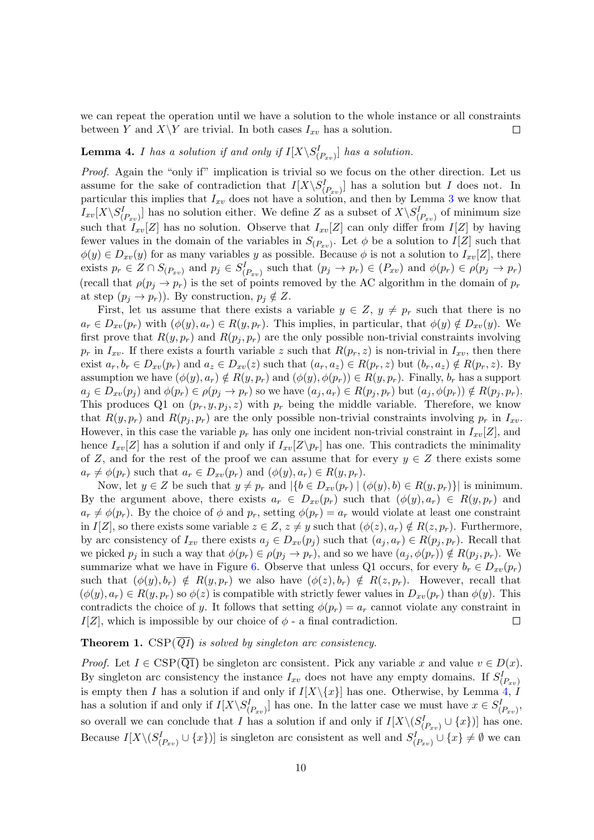we can repeat the operation until we have a solution to the whole instance or all constraints between Y and  $X\Y$  are trivial. In both cases  $I_{xy}$  has a solution.  $\Box$ 

## <span id="page-9-0"></span>**Lemma 4.** I has a solution if and only if  $I[X\setminus S_{(P_{xv})}^I]$  has a solution.

Proof. Again the "only if" implication is trivial so we focus on the other direction. Let us assume for the sake of contradiction that  $I[X\setminus S_{(P_{xy})}^I]$  has a solution but I does not. In particular this implies that  $I_{xy}$  does not have a solution, and then by Lemma [3](#page-8-2) we know that  $I_{xv}[X\setminus S_{(P_{xv})}^I]$  has no solution either. We define Z as a subset of  $X\setminus S_{(P_{xv})}^I$  of minimum size such that  $I_{xv}[Z]$  has no solution. Observe that  $I_{xv}[Z]$  can only differ from  $I[Z]$  by having fewer values in the domain of the variables in  $S_{(P_{xv})}$ . Let  $\phi$  be a solution to  $I[Z]$  such that  $\phi(y) \in D_{xv}(y)$  for as many variables y as possible. Because  $\phi$  is not a solution to  $I_{xv}[Z]$ , there exists  $p_r \in Z \cap S_{(P_{xv})}$  and  $p_j \in S_{(P_{xv})}^I$  such that  $(p_j \to p_r) \in (P_{xv})$  and  $\phi(p_r) \in \rho(p_j \to p_r)$ (recall that  $\rho(p_i \to p_r)$  is the set of points removed by the AC algorithm in the domain of  $p_r$ at step  $(p_i \rightarrow p_r)$ . By construction,  $p_i \notin Z$ .

First, let us assume that there exists a variable  $y \in Z$ ,  $y \neq p_r$  such that there is no  $a_r \in D_{xv}(p_r)$  with  $(\phi(y), a_r) \in R(y, p_r)$ . This implies, in particular, that  $\phi(y) \notin D_{xv}(y)$ . We first prove that  $R(y, p_r)$  and  $R(p_i, p_r)$  are the only possible non-trivial constraints involving  $p_r$  in  $I_{xv}$ . If there exists a fourth variable z such that  $R(p_r, z)$  is non-trivial in  $I_{xv}$ , then there exist  $a_r, b_r \in D_{xy}(p_r)$  and  $a_z \in D_{xy}(z)$  such that  $(a_r, a_z) \in R(p_r, z)$  but  $(b_r, a_z) \notin R(p_r, z)$ . By assumption we have  $(\phi(y), a_r) \notin R(y, p_r)$  and  $(\phi(y), \phi(p_r)) \in R(y, p_r)$ . Finally,  $b_r$  has a support  $a_j \in D_{xv}(p_j)$  and  $\phi(p_r) \in \rho(p_j \to p_r)$  so we have  $(a_j, a_r) \in R(p_j, p_r)$  but  $(a_j, \phi(p_r)) \notin R(p_j, p_r)$ . This produces Q1 on  $(p_r, y, p_j, z)$  with  $p_r$  being the middle variable. Therefore, we know that  $R(y, p_r)$  and  $R(p_j, p_r)$  are the only possible non-trivial constraints involving  $p_r$  in  $I_{xy}$ . However, in this case the variable  $p_r$  has only one incident non-trivial constraint in  $I_{xv}[Z]$ , and hence  $I_{xv}[Z]$  has a solution if and only if  $I_{xv}[Z\Y{p_r}]$  has one. This contradicts the minimality of Z, and for the rest of the proof we can assume that for every  $y \in Z$  there exists some  $a_r \neq \phi(p_r)$  such that  $a_r \in D_{xv}(p_r)$  and  $(\phi(y), a_r) \in R(y, p_r)$ .

Now, let  $y \in Z$  be such that  $y \neq p_r$  and  $|\{b \in D_{xy}(p_r) \mid (\phi(y), b) \in R(y, p_r)\}|$  is minimum. By the argument above, there exists  $a_r \in D_{xy}(p_r)$  such that  $(\phi(y), a_r) \in R(y, p_r)$  and  $a_r \neq \phi(p_r)$ . By the choice of  $\phi$  and  $p_r$ , setting  $\phi(p_r) = a_r$  would violate at least one constraint in  $I[Z]$ , so there exists some variable  $z \in Z$ ,  $z \neq y$  such that  $(\phi(z), a_r) \notin R(z, p_r)$ . Furthermore, by arc consistency of  $I_{xv}$  there exists  $a_j \in D_{xv}(p_j)$  such that  $(a_j, a_r) \in R(p_j, p_r)$ . Recall that we picked  $p_j$  in such a way that  $\phi(p_r) \in \rho(p_j \to p_r)$ , and so we have  $(a_j, \phi(p_r)) \notin R(p_j, p_r)$ . We summarize what we have in Figure [6.](#page-10-1) Observe that unless Q1 occurs, for every  $b_r \in D_{xv}(p_r)$ such that  $(\phi(y), b_r) \notin R(y, p_r)$  we also have  $(\phi(z), b_r) \notin R(z, p_r)$ . However, recall that  $(\phi(y), a_r) \in R(y, p_r)$  so  $\phi(z)$  is compatible with strictly fewer values in  $D_{xy}(p_r)$  than  $\phi(y)$ . This contradicts the choice of y. It follows that setting  $\phi(p_r) = a_r$  cannot violate any constraint in  $I[Z]$ , which is impossible by our choice of  $\phi$  - a final contradiction.  $\Box$ 

#### **Theorem 1.** CSP( $\overline{Q1}$ ) is solved by singleton arc consistency.

*Proof.* Let  $I \in \text{CSP}(\overline{Q1})$  be singleton arc consistent. Pick any variable x and value  $v \in D(x)$ . By singleton arc consistency the instance  $I_{xv}$  does not have any empty domains. If  $S_{(P_{xv})}^I$ is empty then I has a solution if and only if  $I[X\setminus\{x\}]$  has one. Otherwise, by Lemma [4,](#page-9-0) I has a solution if and only if  $I[X\backslash S_{(P_{xy})}^I]$  has one. In the latter case we must have  $x \in S_{(P_{xy})}^I$ , so overall we can conclude that I has a solution if and only if  $I[X\setminus (S_{(P_{xy})}^I \cup \{x\})]$  has one. Because  $I[X\setminus (S_{(P_{xy})}^I\cup \{x\})]$  is singleton arc consistent as well and  $S_{(P_{xy})}^I\cup \{x\}\neq \emptyset$  we can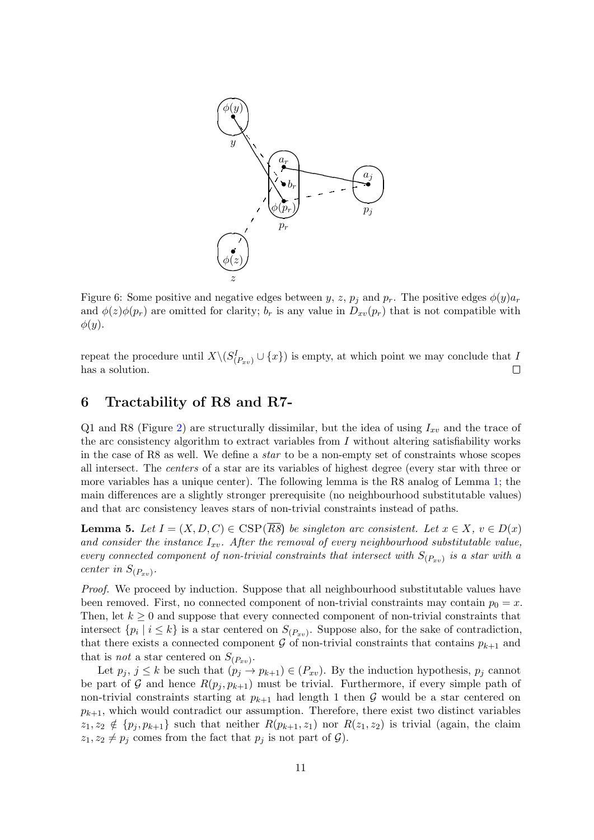

<span id="page-10-1"></span>Figure 6: Some positive and negative edges between y, z,  $p_i$  and  $p_r$ . The positive edges  $\phi(y)a_r$ and  $\phi(z)\phi(p_r)$  are omitted for clarity;  $b_r$  is any value in  $D_{xy}(p_r)$  that is not compatible with  $\phi(y)$ .

repeat the procedure until  $X \setminus (S_{(P_{xv})}^I \cup \{x\})$  is empty, at which point we may conclude that I has a solution.  $\Box$ 

### <span id="page-10-0"></span>6 Tractability of R8 and R7-

Q1 and R8 (Figure [2\)](#page-5-0) are structurally dissimilar, but the idea of using  $I_{xv}$  and the trace of the arc consistency algorithm to extract variables from  $I$  without altering satisfiability works in the case of R8 as well. We define a star to be a non-empty set of constraints whose scopes all intersect. The centers of a star are its variables of highest degree (every star with three or more variables has a unique center). The following lemma is the R8 analog of Lemma [1;](#page-7-1) the main differences are a slightly stronger prerequisite (no neighbourhood substitutable values) and that arc consistency leaves stars of non-trivial constraints instead of paths.

<span id="page-10-2"></span>**Lemma 5.** Let  $I = (X, D, C) \in \text{CSP}(\overline{RS})$  be singleton arc consistent. Let  $x \in X$ ,  $v \in D(x)$ and consider the instance  $I_{xv}$ . After the removal of every neighbourhood substitutable value, every connected component of non-trivial constraints that intersect with  $S_{(P_{xv})}$  is a star with a center in  $S_{(P_{xv})}$ .

Proof. We proceed by induction. Suppose that all neighbourhood substitutable values have been removed. First, no connected component of non-trivial constraints may contain  $p_0 = x$ . Then, let  $k \geq 0$  and suppose that every connected component of non-trivial constraints that intersect  $\{p_i \mid i \leq k\}$  is a star centered on  $S_{(P_{xv})}$ . Suppose also, for the sake of contradiction, that there exists a connected component  $G$  of non-trivial constraints that contains  $p_{k+1}$  and that is *not* a star centered on  $S_{(P_{xv})}$ .

Let  $p_j, j \leq k$  be such that  $(p_j \to p_{k+1}) \in (P_{xv})$ . By the induction hypothesis,  $p_j$  cannot be part of G and hence  $R(p_i, p_{k+1})$  must be trivial. Furthermore, if every simple path of non-trivial constraints starting at  $p_{k+1}$  had length 1 then G would be a star centered on  $p_{k+1}$ , which would contradict our assumption. Therefore, there exist two distinct variables  $z_1, z_2 \notin \{p_j, p_{k+1}\}\$  such that neither  $R(p_{k+1}, z_1)$  nor  $R(z_1, z_2)$  is trivial (again, the claim  $z_1, z_2 \neq p_j$  comes from the fact that  $p_j$  is not part of  $\mathcal{G}$ ).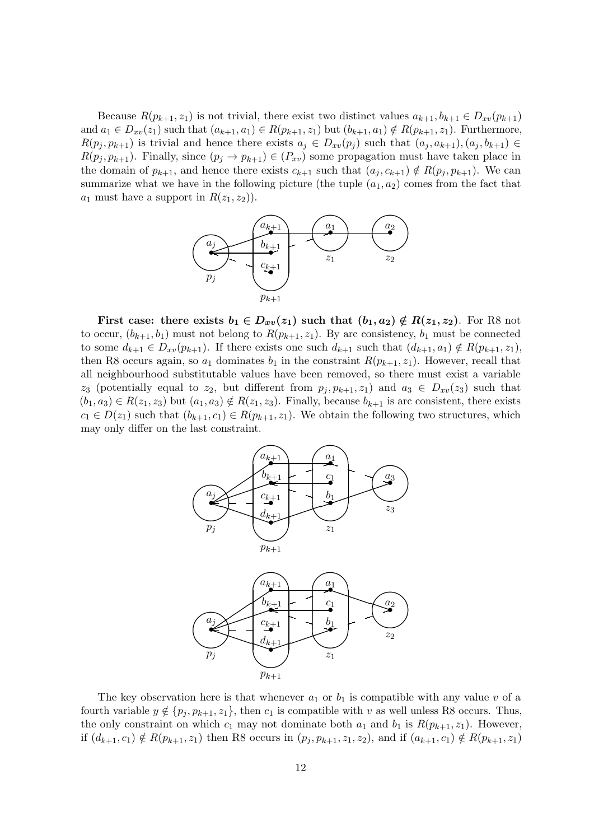Because  $R(p_{k+1}, z_1)$  is not trivial, there exist two distinct values  $a_{k+1}, b_{k+1} \in D_{xv}(p_{k+1})$ and  $a_1 \in D_{xv}(z_1)$  such that  $(a_{k+1}, a_1) \in R(p_{k+1}, z_1)$  but  $(b_{k+1}, a_1) \notin R(p_{k+1}, z_1)$ . Furthermore,  $R(p_j, p_{k+1})$  is trivial and hence there exists  $a_j \in D_{xv}(p_j)$  such that  $(a_j, a_{k+1}), (a_j, b_{k+1}) \in$  $R(p_j, p_{k+1})$ . Finally, since  $(p_j \to p_{k+1}) \in (P_{xv})$  some propagation must have taken place in the domain of  $p_{k+1}$ , and hence there exists  $c_{k+1}$  such that  $(a_i, c_{k+1}) \notin R(p_i, p_{k+1})$ . We can summarize what we have in the following picture (the tuple  $(a_1, a_2)$ ) comes from the fact that  $a_1$  must have a support in  $R(z_1, z_2)$ .



First case: there exists  $b_1 \in D_{xv}(z_1)$  such that  $(b_1, a_2) \notin R(z_1, z_2)$ . For R8 not to occur,  $(b_{k+1}, b_1)$  must not belong to  $R(p_{k+1}, z_1)$ . By arc consistency,  $b_1$  must be connected to some  $d_{k+1} \in D_{xv}(p_{k+1})$ . If there exists one such  $d_{k+1}$  such that  $(d_{k+1}, a_1) \notin R(p_{k+1}, z_1)$ , then R8 occurs again, so  $a_1$  dominates  $b_1$  in the constraint  $R(p_{k+1}, z_1)$ . However, recall that all neighbourhood substitutable values have been removed, so there must exist a variable  $z_3$  (potentially equal to  $z_2$ , but different from  $p_j, p_{k+1}, z_1$ ) and  $a_3 \in D_{xv}(z_3)$  such that  $(b_1, a_3) \in R(z_1, z_3)$  but  $(a_1, a_3) \notin R(z_1, z_3)$ . Finally, because  $b_{k+1}$  is arc consistent, there exists  $c_1 \in D(z_1)$  such that  $(b_{k+1}, c_1) \in R(p_{k+1}, z_1)$ . We obtain the following two structures, which may only differ on the last constraint.



The key observation here is that whenever  $a_1$  or  $b_1$  is compatible with any value v of a fourth variable  $y \notin \{p_j, p_{k+1}, z_1\}$ , then  $c_1$  is compatible with v as well unless R8 occurs. Thus, the only constraint on which  $c_1$  may not dominate both  $a_1$  and  $b_1$  is  $R(p_{k+1}, z_1)$ . However, if  $(d_{k+1}, c_1) \notin R(p_{k+1}, z_1)$  then R8 occurs in  $(p_j, p_{k+1}, z_1, z_2)$ , and if  $(a_{k+1}, c_1) \notin R(p_{k+1}, z_1)$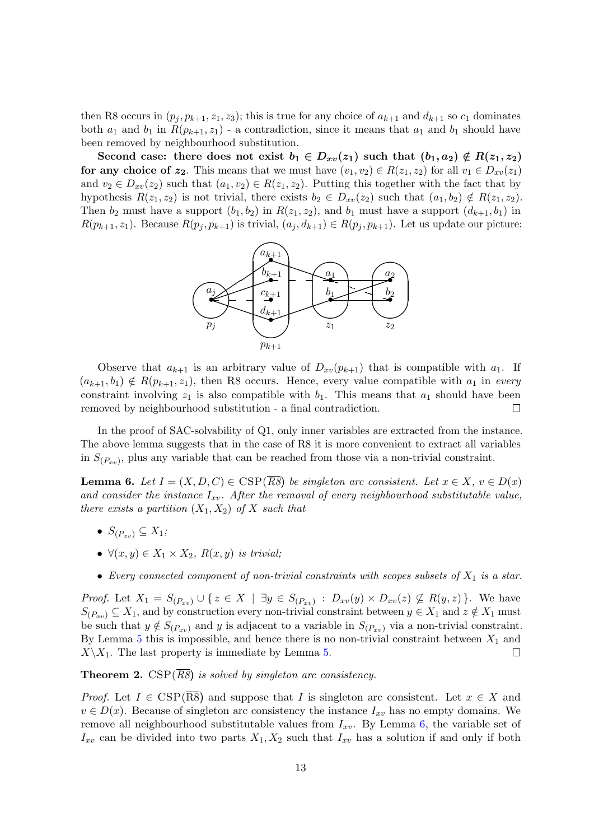then R8 occurs in  $(p_i, p_{k+1}, z_1, z_3)$ ; this is true for any choice of  $a_{k+1}$  and  $d_{k+1}$  so  $c_1$  dominates both  $a_1$  and  $b_1$  in  $R(p_{k+1}, z_1)$  - a contradiction, since it means that  $a_1$  and  $b_1$  should have been removed by neighbourhood substitution.

Second case: there does not exist  $b_1 \in D_{xv}(z_1)$  such that  $(b_1, a_2) \notin R(z_1, z_2)$ for any choice of  $z_2$ . This means that we must have  $(v_1, v_2) \in R(z_1, z_2)$  for all  $v_1 \in D_{xy}(z_1)$ and  $v_2 \in D_{xv}(z_2)$  such that  $(a_1, v_2) \in R(z_1, z_2)$ . Putting this together with the fact that by hypothesis  $R(z_1, z_2)$  is not trivial, there exists  $b_2 \in D_{xy}(z_2)$  such that  $(a_1, b_2) \notin R(z_1, z_2)$ . Then  $b_2$  must have a support  $(b_1, b_2)$  in  $R(z_1, z_2)$ , and  $b_1$  must have a support  $(d_{k+1}, b_1)$  in  $R(p_{k+1}, z_1)$ . Because  $R(p_j, p_{k+1})$  is trivial,  $(a_j, d_{k+1}) \in R(p_j, p_{k+1})$ . Let us update our picture:



Observe that  $a_{k+1}$  is an arbitrary value of  $D_{xv}(p_{k+1})$  that is compatible with  $a_1$ . If  $(a_{k+1}, b_1) \notin R(p_{k+1}, z_1)$ , then R8 occurs. Hence, every value compatible with  $a_1$  in every constraint involving  $z_1$  is also compatible with  $b_1$ . This means that  $a_1$  should have been removed by neighbourhood substitution - a final contradiction.  $\Box$ 

In the proof of SAC-solvability of Q1, only inner variables are extracted from the instance. The above lemma suggests that in the case of R8 it is more convenient to extract all variables in  $S_{(P_{xv})}$ , plus any variable that can be reached from those via a non-trivial constraint.

<span id="page-12-0"></span>**Lemma 6.** Let  $I = (X, D, C) \in \text{CSP}(\overline{R8})$  be singleton arc consistent. Let  $x \in X$ ,  $v \in D(x)$ and consider the instance  $I_{xv}$ . After the removal of every neighbourhood substitutable value, there exists a partition  $(X_1, X_2)$  of X such that

- $S_{(P_{xy})} \subseteq X_1;$
- $\forall (x, y) \in X_1 \times X_2$ ,  $R(x, y)$  is trivial;
- Every connected component of non-trivial constraints with scopes subsets of  $X_1$  is a star.

*Proof.* Let  $X_1 = S_{(P_{xv})} \cup \{z \in X \mid \exists y \in S_{(P_{xv})} : D_{xv}(y) \times D_{xv}(z) \nsubseteq R(y,z)\}\.$  We have  $S_{(P_{xy})} \subseteq X_1$ , and by construction every non-trivial constraint between  $y \in X_1$  and  $z \notin X_1$  must be such that  $y \notin S_{(P_{xy})}$  and y is adjacent to a variable in  $S_{(P_{xy})}$  via a non-trivial constraint. By Lemma [5](#page-10-2) this is impossible, and hence there is no non-trivial constraint between  $X_1$  and  $X\setminus X_1$ . The last property is immediate by Lemma [5.](#page-10-2)  $\Box$ 

**Theorem 2.** CSP( $\overline{R8}$ ) is solved by singleton arc consistency.

*Proof.* Let  $I \in \text{CSP}(\overline{\text{RS}})$  and suppose that I is singleton arc consistent. Let  $x \in X$  and  $v \in D(x)$ . Because of singleton arc consistency the instance  $I_{xv}$  has no empty domains. We remove all neighbourhood substitutable values from  $I_{xv}$ . By Lemma [6,](#page-12-0) the variable set of  $I_{xv}$  can be divided into two parts  $X_1, X_2$  such that  $I_{xv}$  has a solution if and only if both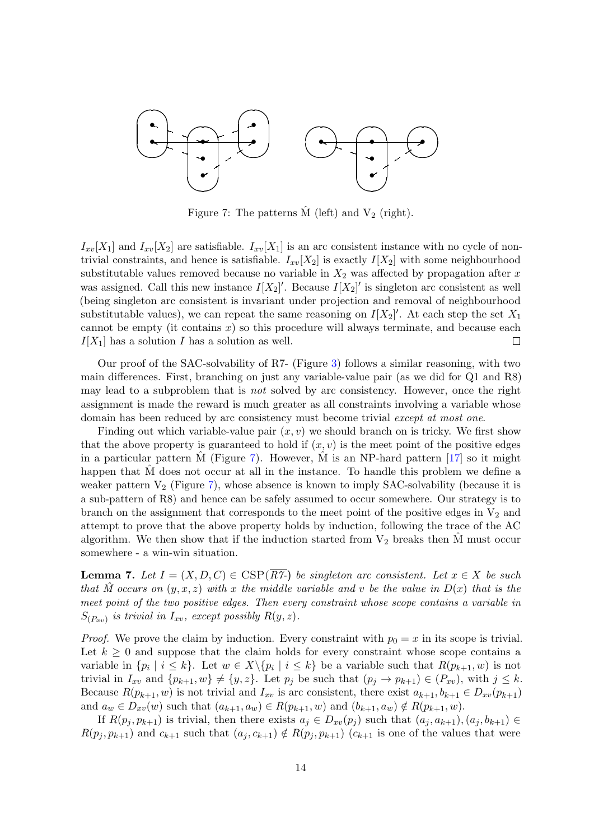

<span id="page-13-0"></span>Figure 7: The patterns  $\hat{M}$  (left) and  $V_2$  (right).

 $I_{xv}[X_1]$  and  $I_{xv}[X_2]$  are satisfiable.  $I_{xv}[X_1]$  is an arc consistent instance with no cycle of nontrivial constraints, and hence is satisfiable.  $I_{xv}[X_2]$  is exactly  $I[X_2]$  with some neighbourhood substitutable values removed because no variable in  $X_2$  was affected by propagation after x was assigned. Call this new instance  $I[X_2]'$ . Because  $I[X_2]'$  is singleton arc consistent as well (being singleton arc consistent is invariant under projection and removal of neighbourhood substitutable values), we can repeat the same reasoning on  $I[X_2]'$ . At each step the set  $X_1$ cannot be empty (it contains  $x$ ) so this procedure will always terminate, and because each  $I[X_1]$  has a solution I has a solution as well.  $\Box$ 

Our proof of the SAC-solvability of R7- (Figure [3\)](#page-5-1) follows a similar reasoning, with two main differences. First, branching on just any variable-value pair (as we did for Q1 and R8) may lead to a subproblem that is *not* solved by arc consistency. However, once the right assignment is made the reward is much greater as all constraints involving a variable whose domain has been reduced by arc consistency must become trivial except at most one.

Finding out which variable-value pair  $(x, y)$  we should branch on is tricky. We first show that the above property is guaranteed to hold if  $(x, v)$  is the meet point of the positive edges in a particular pattern M (Figure [7\)](#page-13-0). However, M is an NP-hard pattern  $[17]$  $[17]$  so it might happen that M does not occur at all in the instance. To handle this problem we define a weaker pattern  $V_2$  (Figure [7\)](#page-13-0), whose absence is known to imply SAC-solvability (because it is a sub-pattern of R8) and hence can be safely assumed to occur somewhere. Our strategy is to branch on the assignment that corresponds to the meet point of the positive edges in  $V_2$  and attempt to prove that the above property holds by induction, following the trace of the AC algorithm. We then show that if the induction started from  $V_2$  breaks then  $\tilde{M}$  must occur somewhere - a win-win situation.

<span id="page-13-1"></span>**Lemma 7.** Let  $I = (X, D, C) \in \text{CSP}(\overline{RT})$  be singleton arc consistent. Let  $x \in X$  be such that M occurs on  $(y, x, z)$  with x the middle variable and v be the value in  $D(x)$  that is the meet point of the two positive edges. Then every constraint whose scope contains a variable in  $S_{(P_{xv})}$  is trivial in  $I_{xv}$ , except possibly  $R(y, z)$ .

*Proof.* We prove the claim by induction. Every constraint with  $p_0 = x$  in its scope is trivial. Let  $k \geq 0$  and suppose that the claim holds for every constraint whose scope contains a variable in  $\{p_i \mid i \leq k\}$ . Let  $w \in X \setminus \{p_i \mid i \leq k\}$  be a variable such that  $R(p_{k+1}, w)$  is not trivial in  $I_{xy}$  and  $\{p_{k+1}, w\} \neq \{y, z\}$ . Let  $p_j$  be such that  $(p_j \rightarrow p_{k+1}) \in (P_{xy})$ , with  $j \leq k$ . Because  $R(p_{k+1}, w)$  is not trivial and  $I_{xv}$  is arc consistent, there exist  $a_{k+1}, b_{k+1} \in D_{xv}(p_{k+1})$ and  $a_w \in D_{xv}(w)$  such that  $(a_{k+1}, a_w) \in R(p_{k+1}, w)$  and  $(b_{k+1}, a_w) \notin R(p_{k+1}, w)$ .

If  $R(p_j, p_{k+1})$  is trivial, then there exists  $a_j \in D_{xv}(p_j)$  such that  $(a_j, a_{k+1}), (a_j, b_{k+1}) \in$  $R(p_j, p_{k+1})$  and  $c_{k+1}$  such that  $(a_j, c_{k+1}) \notin R(p_j, p_{k+1})$   $(c_{k+1}$  is one of the values that were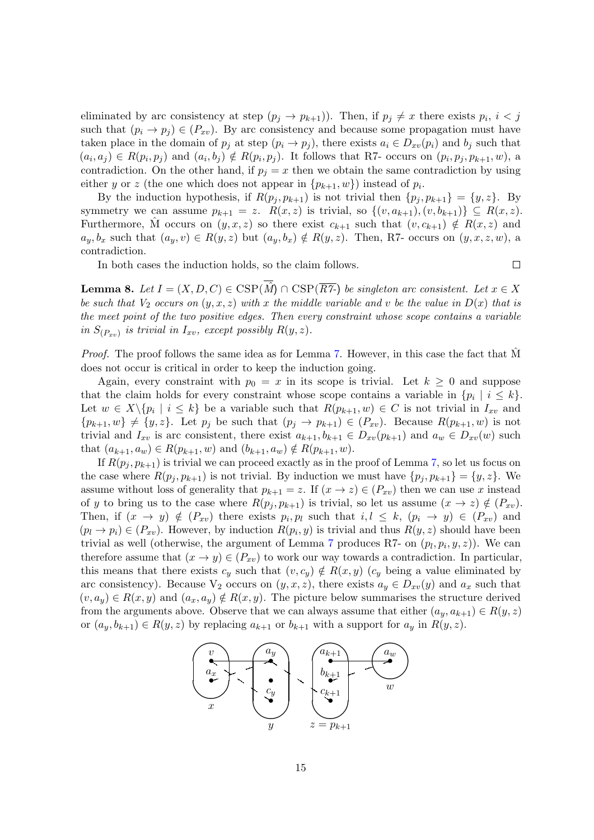eliminated by arc consistency at step  $(p_j \to p_{k+1})$ ). Then, if  $p_j \neq x$  there exists  $p_i$ ,  $i < j$ such that  $(p_i \rightarrow p_j) \in (P_{xy})$ . By arc consistency and because some propagation must have taken place in the domain of  $p_j$  at step  $(p_i \rightarrow p_j)$ , there exists  $a_i \in D_{xv}(p_i)$  and  $b_j$  such that  $(a_i, a_j) \in R(p_i, p_j)$  and  $(a_i, b_j) \notin R(p_i, p_j)$ . It follows that R7- occurs on  $(p_i, p_j, p_{k+1}, w)$ , a contradiction. On the other hand, if  $p_i = x$  then we obtain the same contradiction by using either y or z (the one which does not appear in  $\{p_{k+1}, w\}$ ) instead of  $p_i$ .

By the induction hypothesis, if  $R(p_i, p_{k+1})$  is not trivial then  $\{p_i, p_{k+1}\} = \{y, z\}$ . By symmetry we can assume  $p_{k+1} = z$ .  $R(x, z)$  is trivial, so  $\{(v, a_{k+1}), (v, b_{k+1})\} \subseteq R(x, z)$ . Furthermore, M occurs on  $(y, x, z)$  so there exist  $c_{k+1}$  such that  $(v, c_{k+1}) \notin R(x, z)$  and  $a_y, b_x$  such that  $(a_y, v) \in R(y, z)$  but  $(a_y, b_x) \notin R(y, z)$ . Then, R7- occurs on  $(y, x, z, w)$ , a contradiction.

In both cases the induction holds, so the claim follows.

 $\Box$ 

<span id="page-14-0"></span>**Lemma 8.** Let  $I = (X, D, C) \in \text{CSP}(\hat{M}) \cap \text{CSP}(\overline{RT})$  be singleton arc consistent. Let  $x \in X$ be such that  $V_2$  occurs on  $(y, x, z)$  with x the middle variable and v be the value in  $D(x)$  that is the meet point of the two positive edges. Then every constraint whose scope contains a variable in  $S_{(P_{xv})}$  is trivial in  $I_{xv}$ , except possibly  $R(y, z)$ .

*Proof.* The proof follows the same idea as for Lemma [7.](#page-13-1) However, in this case the fact that  $\hat{M}$ does not occur is critical in order to keep the induction going.

Again, every constraint with  $p_0 = x$  in its scope is trivial. Let  $k \geq 0$  and suppose that the claim holds for every constraint whose scope contains a variable in  $\{p_i \mid i \leq k\}$ . Let  $w \in X \setminus \{p_i \mid i \leq k\}$  be a variable such that  $R(p_{k+1}, w) \in C$  is not trivial in  $I_{xv}$  and  ${p_{k+1}, w} \neq {y, z}$ . Let  $p_j$  be such that  $(p_j \rightarrow p_{k+1}) \in (P_{xy})$ . Because  $R(p_{k+1}, w)$  is not trivial and  $I_{xv}$  is arc consistent, there exist  $a_{k+1}, b_{k+1} \in D_{xv}(p_{k+1})$  and  $a_w \in D_{xv}(w)$  such that  $(a_{k+1}, a_w) \in R(p_{k+1}, w)$  and  $(b_{k+1}, a_w) \notin R(p_{k+1}, w)$ .

If  $R(p_j, p_{k+1})$  is trivial we can proceed exactly as in the proof of Lemma [7,](#page-13-1) so let us focus on the case where  $R(p_i, p_{k+1})$  is not trivial. By induction we must have  $\{p_i, p_{k+1}\} = \{y, z\}$ . We assume without loss of generality that  $p_{k+1} = z$ . If  $(x \to z) \in (P_{xy})$  then we can use x instead of y to bring us to the case where  $R(p_i, p_{k+1})$  is trivial, so let us assume  $(x \to z) \notin (P_{xy})$ . Then, if  $(x \to y) \notin (P_{xy})$  there exists  $p_i, p_l$  such that  $i, l \leq k$ ,  $(p_i \to y) \in (P_{xy})$  and  $(p_l \to p_i) \in (P_{xv})$ . However, by induction  $R(p_i, y)$  is trivial and thus  $R(y, z)$  should have been trivial as well (otherwise, the argument of Lemma [7](#page-13-1) produces R7- on  $(p_l, p_i, y, z)$ ). We can therefore assume that  $(x \to y) \in (P_{xv})$  to work our way towards a contradiction. In particular, this means that there exists  $c_y$  such that  $(v, c_y) \notin R(x, y)$   $(c_y$  being a value eliminated by arc consistency). Because  $V_2$  occurs on  $(y, x, z)$ , there exists  $a_y \in D_{xy}(y)$  and  $a_x$  such that  $(v, a_y) \in R(x, y)$  and  $(a_x, a_y) \notin R(x, y)$ . The picture below summarises the structure derived from the arguments above. Observe that we can always assume that either  $(a_y, a_{k+1}) \in R(y, z)$ or  $(a_y, b_{k+1}) \in R(y, z)$  by replacing  $a_{k+1}$  or  $b_{k+1}$  with a support for  $a_y$  in  $R(y, z)$ .

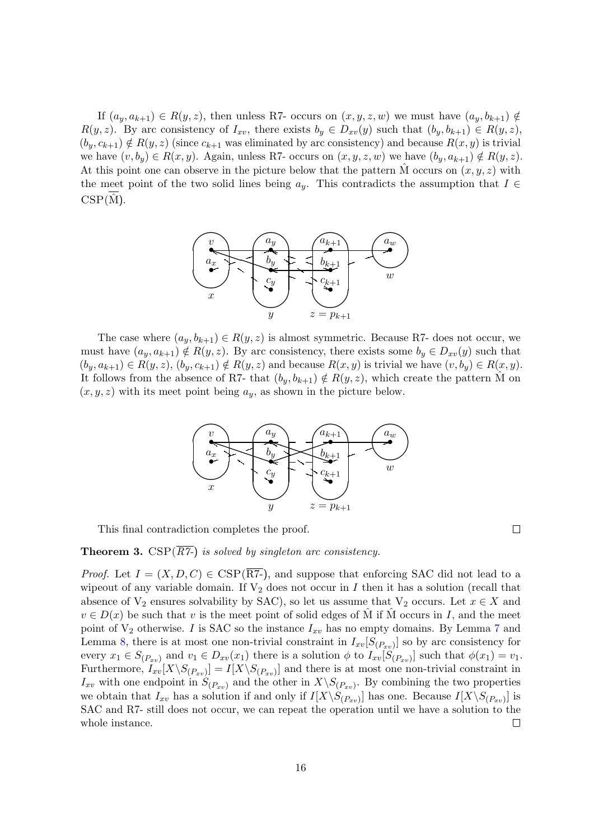If  $(a_y, a_{k+1}) \in R(y, z)$ , then unless R7- occurs on  $(x, y, z, w)$  we must have  $(a_y, b_{k+1}) \notin$  $R(y, z)$ . By arc consistency of  $I_{xy}$ , there exists  $b_y \in D_{xy}(y)$  such that  $(b_y, b_{k+1}) \in R(y, z)$ ,  $(b_y, c_{k+1}) \notin R(y, z)$  (since  $c_{k+1}$  was eliminated by arc consistency) and because  $R(x, y)$  is trivial we have  $(v, b_y) \in R(x, y)$ . Again, unless R7- occurs on  $(x, y, z, w)$  we have  $(b_y, a_{k+1}) \notin R(y, z)$ . At this point one can observe in the picture below that the pattern M occurs on  $(x, y, z)$  with the meet point of the two solid lines being  $a_y$ . This contradicts the assumption that  $I \in$  $CSP(\hat{M})$ .



The case where  $(a_y, b_{k+1}) \in R(y, z)$  is almost symmetric. Because R7- does not occur, we must have  $(a_y, a_{k+1}) \notin R(y, z)$ . By arc consistency, there exists some  $b_y \in D_{x}v(y)$  such that  $(b_y, a_{k+1}) \in R(y, z), (b_y, c_{k+1}) \notin R(y, z)$  and because  $R(x, y)$  is trivial we have  $(v, b_y) \in R(x, y)$ . It follows from the absence of R7- that  $(b_y, b_{k+1}) \notin R(y, z)$ , which create the pattern M on  $(x, y, z)$  with its meet point being  $a_y$ , as shown in the picture below.



This final contradiction completes the proof.

 $\Box$ 

**Theorem 3.** CSP( $\overline{RT}$ ) is solved by singleton arc consistency.

*Proof.* Let  $I = (X, D, C) \in \text{CSP}(\overline{RT})$ , and suppose that enforcing SAC did not lead to a wipeout of any variable domain. If  $V_2$  does not occur in I then it has a solution (recall that absence of  $V_2$  ensures solvability by SAC), so let us assume that  $V_2$  occurs. Let  $x \in X$  and  $v \in D(x)$  be such that v is the meet point of solid edges of M if M occurs in I, and the meet point of  $V_2$  otherwise. I is SAC so the instance  $I_{xv}$  has no empty domains. By Lemma [7](#page-13-1) and Lemma [8,](#page-14-0) there is at most one non-trivial constraint in  $I_{xv}[S_{(P_{xv})}]$  so by arc consistency for every  $x_1 \in S_{(P_{xv})}$  and  $v_1 \in D_{xv}(x_1)$  there is a solution  $\phi$  to  $I_{xv}[S_{(P_{xv})}]$  such that  $\phi(x_1) = v_1$ . Furthermore,  $I_{xv}[X\setminus S_{(P_{xv})}] = I[X\setminus S_{(P_{xv})}]$  and there is at most one non-trivial constraint in  $I_{xy}$  with one endpoint in  $S_{(P_{xy})}$  and the other in  $X \backslash S_{(P_{xy})}$ . By combining the two properties we obtain that  $I_{xy}$  has a solution if and only if  $I[X\setminus S_{(P_{xy})}]$  has one. Because  $I[X\setminus S_{(P_{xy})}]$  is SAC and R7- still does not occur, we can repeat the operation until we have a solution to the whole instance. П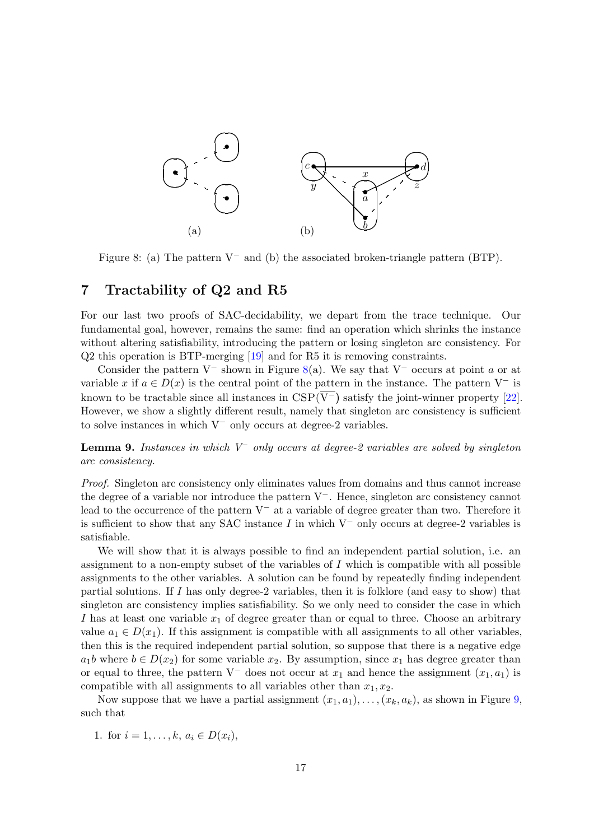

<span id="page-16-2"></span>Figure 8: (a) The pattern  $V^-$  and (b) the associated broken-triangle pattern (BTP).

### <span id="page-16-0"></span>7 Tractability of Q2 and R5

For our last two proofs of SAC-decidability, we depart from the trace technique. Our fundamental goal, however, remains the same: find an operation which shrinks the instance without altering satisfiability, introducing the pattern or losing singleton arc consistency. For Q2 this operation is BTP-merging [\[19\]](#page-26-8) and for R5 it is removing constraints.

Consider the pattern V<sup>-</sup> shown in Figure [8\(](#page-16-2)a). We say that V<sup>-</sup> occurs at point a or at variable x if  $a \in D(x)$  is the central point of the pattern in the instance. The pattern V<sup>-</sup> is known to be tractable since all instances in  $CSP(\overline{V}^-)$  satisfy the joint-winner property [\[22\]](#page-26-11). However, we show a slightly different result, namely that singleton arc consistency is sufficient to solve instances in which V<sup>−</sup> only occurs at degree-2 variables.

<span id="page-16-1"></span>**Lemma 9.** Instances in which  $V^-$  only occurs at degree-2 variables are solved by singleton arc consistency.

Proof. Singleton arc consistency only eliminates values from domains and thus cannot increase the degree of a variable nor introduce the pattern V−. Hence, singleton arc consistency cannot lead to the occurrence of the pattern V<sup>−</sup> at a variable of degree greater than two. Therefore it is sufficient to show that any SAC instance I in which  $V^-$  only occurs at degree-2 variables is satisfiable.

We will show that it is always possible to find an independent partial solution, i.e. an assignment to a non-empty subset of the variables of  $I$  which is compatible with all possible assignments to the other variables. A solution can be found by repeatedly finding independent partial solutions. If I has only degree-2 variables, then it is folklore (and easy to show) that singleton arc consistency implies satisfiability. So we only need to consider the case in which I has at least one variable  $x_1$  of degree greater than or equal to three. Choose an arbitrary value  $a_1 \in D(x_1)$ . If this assignment is compatible with all assignments to all other variables, then this is the required independent partial solution, so suppose that there is a negative edge  $a_1b$  where  $b \in D(x_2)$  for some variable  $x_2$ . By assumption, since  $x_1$  has degree greater than or equal to three, the pattern V<sup>-</sup> does not occur at  $x_1$  and hence the assignment  $(x_1, a_1)$  is compatible with all assignments to all variables other than  $x_1, x_2$ .

Now suppose that we have a partial assignment  $(x_1, a_1), \ldots, (x_k, a_k)$ , as shown in Figure [9,](#page-17-0) such that

1. for  $i = 1, ..., k, a_i \in D(x_i)$ ,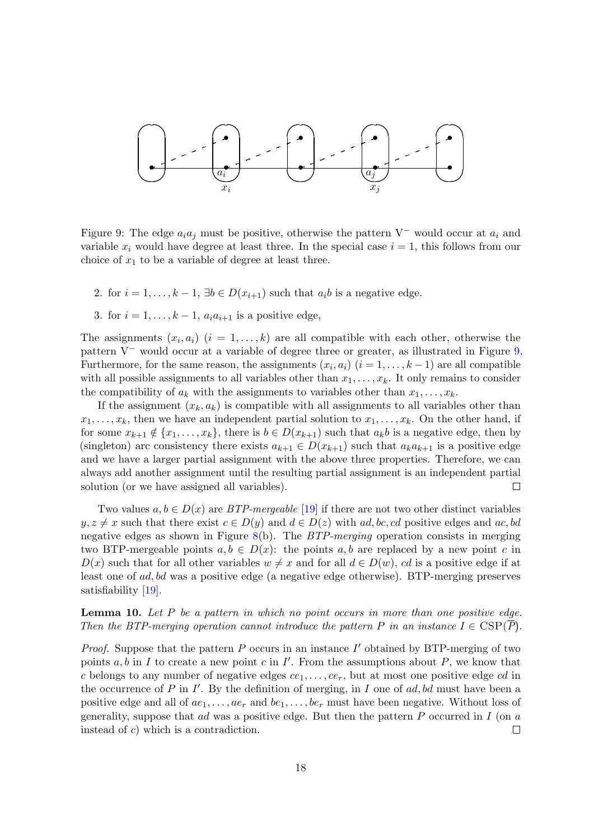

<span id="page-17-0"></span>Figure 9: The edge  $a_i a_j$  must be positive, otherwise the pattern V<sup>-</sup> would occur at  $a_i$  and variable  $x_i$  would have degree at least three. In the special case  $i = 1$ , this follows from our choice of  $x_1$  to be a variable of degree at least three.

- 2. for  $i = 1, ..., k 1$ ,  $\exists b \in D(x_{i+1})$  such that  $a_i b$  is a negative edge.
- 3. for  $i = 1, \ldots, k 1$ ,  $a_i a_{i+1}$  is a positive edge.

The assignments  $(x_i, a_i)$   $(i = 1, \ldots, k)$  are all compatible with each other, otherwise the pattern V<sup>−</sup> would occur at a variable of degree three or greater, as illustrated in Figure [9.](#page-17-0) Furthermore, for the same reason, the assignments  $(x_i, a_i)$   $(i = 1, \ldots, k-1)$  are all compatible with all possible assignments to all variables other than  $x_1, \ldots, x_k$ . It only remains to consider the compatibility of  $a_k$  with the assignments to variables other than  $x_1, \ldots, x_k$ .

If the assignment  $(x_k, a_k)$  is compatible with all assignments to all variables other than  $x_1, \ldots, x_k$ , then we have an independent partial solution to  $x_1, \ldots, x_k$ . On the other hand, if for some  $x_{k+1} \notin \{x_1, \ldots, x_k\}$ , there is  $b \in D(x_{k+1})$  such that  $a_k b$  is a negative edge, then by (singleton) arc consistency there exists  $a_{k+1} \in D(x_{k+1})$  such that  $a_k a_{k+1}$  is a positive edge and we have a larger partial assignment with the above three properties. Therefore, we can always add another assignment until the resulting partial assignment is an independent partial solution (or we have assigned all variables).  $\Box$ 

Two values  $a, b \in D(x)$  are *BTP-mergeable* [\[19\]](#page-26-8) if there are not two other distinct variables  $y, z \neq x$  such that there exist  $c \in D(y)$  and  $d \in D(z)$  with ad, bc, cd positive edges and ac, bd negative edges as shown in Figure [8\(](#page-16-2)b). The  $BTP$ -merging operation consists in merging two BTP-mergeable points  $a, b \in D(x)$ : the points  $a, b$  are replaced by a new point c in  $D(x)$  such that for all other variables  $w \neq x$  and for all  $d \in D(w)$ , cd is a positive edge if at least one of ad, bd was a positive edge (a negative edge otherwise). BTP-merging preserves satisfiability [\[19\]](#page-26-8).

<span id="page-17-1"></span>**Lemma 10.** Let  $P$  be a pattern in which no point occurs in more than one positive edge. Then the BTP-merging operation cannot introduce the pattern P in an instance  $I \in \text{CSP}(P)$ .

*Proof.* Suppose that the pattern  $P$  occurs in an instance  $I'$  obtained by BTP-merging of two points  $a, b$  in I to create a new point c in I'. From the assumptions about P, we know that c belongs to any number of negative edges  $ce_1, \ldots, ce_r$ , but at most one positive edge cd in the occurrence of  $P$  in  $I'$ . By the definition of merging, in  $I$  one of ad, bd must have been a positive edge and all of  $ae_1, \ldots, ae_r$  and  $be_1, \ldots, be_r$  must have been negative. Without loss of generality, suppose that ad was a positive edge. But then the pattern  $P$  occurred in  $I$  (on  $a$ instead of c) which is a contradiction.  $\Box$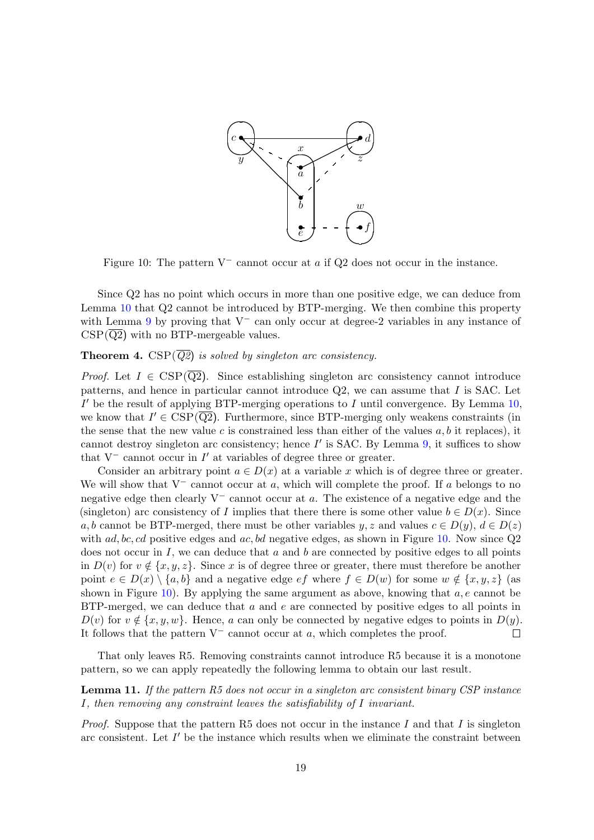

<span id="page-18-0"></span>Figure 10: The pattern  $V^-$  cannot occur at a if Q2 does not occur in the instance.

Since Q2 has no point which occurs in more than one positive edge, we can deduce from Lemma [10](#page-17-1) that Q2 cannot be introduced by BTP-merging. We then combine this property with Lemma [9](#page-16-1) by proving that  $V^-$  can only occur at degree-2 variables in any instance of  $CSP(\overline{Q2})$  with no BTP-mergeable values.

#### **Theorem 4.** CSP( $\overline{Q2}$ ) is solved by singleton arc consistency.

*Proof.* Let  $I \in \text{CSP}(\overline{Q2})$ . Since establishing singleton arc consistency cannot introduce patterns, and hence in particular cannot introduce Q2, we can assume that I is SAC. Let  $I'$  be the result of applying BTP-merging operations to I until convergence. By Lemma  $10$ , we know that  $I' \in \text{CSP}(\overline{Q2})$ . Furthermore, since BTP-merging only weakens constraints (in the sense that the new value  $c$  is constrained less than either of the values  $a, b$  it replaces), it cannot destroy singleton arc consistency; hence  $I'$  is SAC. By Lemma [9,](#page-16-1) it suffices to show that  $V^-$  cannot occur in  $I'$  at variables of degree three or greater.

Consider an arbitrary point  $a \in D(x)$  at a variable x which is of degree three or greater. We will show that  $V^-$  cannot occur at a, which will complete the proof. If a belongs to no negative edge then clearly  $V^-$  cannot occur at a. The existence of a negative edge and the (singleton) arc consistency of I implies that there there is some other value  $b \in D(x)$ . Since a, b cannot be BTP-merged, there must be other variables  $y, z$  and values  $c \in D(y), d \in D(z)$ with  $ad, bc, cd$  positive edges and  $ac, bd$  negative edges, as shown in Figure [10.](#page-18-0) Now since  $Q2$ does not occur in  $I$ , we can deduce that a and b are connected by positive edges to all points in  $D(v)$  for  $v \notin \{x, y, z\}$ . Since x is of degree three or greater, there must therefore be another point  $e \in D(x) \setminus \{a, b\}$  and a negative edge  $ef$  where  $f \in D(w)$  for some  $w \notin \{x, y, z\}$  (as shown in Figure [10\)](#page-18-0). By applying the same argument as above, knowing that  $a, e$  cannot be BTP-merged, we can deduce that  $a$  and  $e$  are connected by positive edges to all points in  $D(v)$  for  $v \notin \{x, y, w\}$ . Hence, a can only be connected by negative edges to points in  $D(y)$ . It follows that the pattern  $V^-$  cannot occur at a, which completes the proof.  $\Box$ 

That only leaves R5. Removing constraints cannot introduce R5 because it is a monotone pattern, so we can apply repeatedly the following lemma to obtain our last result.

#### <span id="page-18-1"></span>**Lemma 11.** If the pattern R5 does not occur in a singleton arc consistent binary CSP instance I, then removing any constraint leaves the satisfiability of I invariant.

*Proof.* Suppose that the pattern R5 does not occur in the instance I and that I is singleton arc consistent. Let  $I'$  be the instance which results when we eliminate the constraint between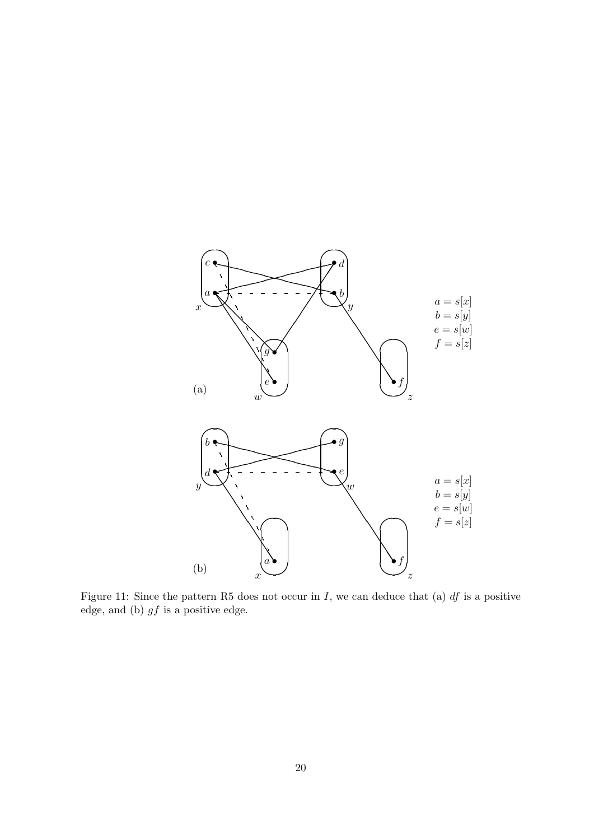

<span id="page-19-0"></span>Figure 11: Since the pattern R5 does not occur in I, we can deduce that (a)  $df$  is a positive edge, and (b)  $gf$  is a positive edge.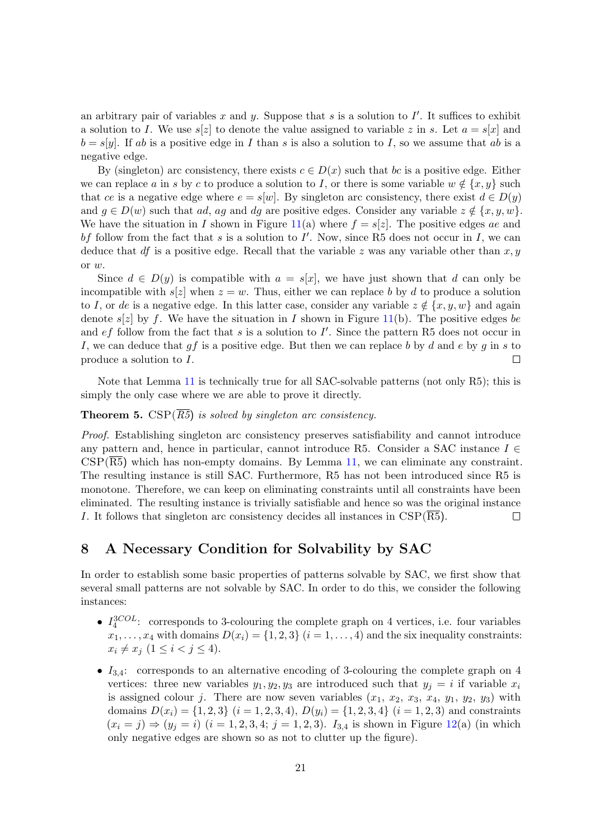an arbitrary pair of variables x and y. Suppose that s is a solution to  $I'$ . It suffices to exhibit a solution to I. We use  $s[z]$  to denote the value assigned to variable z in s. Let  $a = s[x]$  and  $b = s[y]$ . If ab is a positive edge in I than s is also a solution to I, so we assume that ab is a negative edge.

By (singleton) arc consistency, there exists  $c \in D(x)$  such that bc is a positive edge. Either we can replace a in s by c to produce a solution to I, or there is some variable  $w \notin \{x, y\}$  such that ce is a negative edge where  $e = s[w]$ . By singleton arc consistency, there exist  $d \in D(y)$ and  $g \in D(w)$  such that ad, ag and dg are positive edges. Consider any variable  $z \notin \{x, y, w\}$ . We have the situation in I shown in Figure [11\(](#page-19-0)a) where  $f = s[z]$ . The positive edges ae and bf follow from the fact that s is a solution to  $I'$ . Now, since R5 does not occur in I, we can deduce that df is a positive edge. Recall that the variable z was any variable other than  $x, y$ or w.

Since  $d \in D(y)$  is compatible with  $a = s[x]$ , we have just shown that d can only be incompatible with  $s[z]$  when  $z=w$ . Thus, either we can replace b by d to produce a solution to I, or de is a negative edge. In this latter case, consider any variable  $z \notin \{x, y, w\}$  and again denote  $s[z]$  by f. We have the situation in I shown in Figure [11\(](#page-19-0)b). The positive edges be and  $ef$  follow from the fact that s is a solution to  $I'$ . Since the pattern R5 does not occur in I, we can deduce that  $qf$  is a positive edge. But then we can replace b by d and e by q in s to produce a solution to I.  $\Box$ 

Note that Lemma [11](#page-18-1) is technically true for all SAC-solvable patterns (not only R5); this is simply the only case where we are able to prove it directly.

#### **Theorem 5.** CSP( $\overline{R5}$ ) is solved by singleton arc consistency.

Proof. Establishing singleton arc consistency preserves satisfiability and cannot introduce any pattern and, hence in particular, cannot introduce R5. Consider a SAC instance  $I \in$  $CSP(\overline{R5})$  which has non-empty domains. By Lemma [11,](#page-18-1) we can eliminate any constraint. The resulting instance is still SAC. Furthermore, R5 has not been introduced since R5 is monotone. Therefore, we can keep on eliminating constraints until all constraints have been eliminated. The resulting instance is trivially satisfiable and hence so was the original instance I. It follows that singleton arc consistency decides all instances in CSP(R5).  $\Box$ 

#### <span id="page-20-0"></span>8 A Necessary Condition for Solvability by SAC

In order to establish some basic properties of patterns solvable by SAC, we first show that several small patterns are not solvable by SAC. In order to do this, we consider the following instances:

- $I_4^{3COL}$ : corresponds to 3-colouring the complete graph on 4 vertices, i.e. four variables  $x_1, \ldots, x_4$  with domains  $D(x_i) = \{1, 2, 3\}$   $(i = 1, \ldots, 4)$  and the six inequality constraints:  $x_i \neq x_j \ (1 \leq i < j \leq 4).$
- $I_{3,4}$ : corresponds to an alternative encoding of 3-colouring the complete graph on 4 vertices: three new variables  $y_1, y_2, y_3$  are introduced such that  $y_j = i$  if variable  $x_i$ is assigned colour j. There are now seven variables  $(x_1, x_2, x_3, x_4, y_1, y_2, y_3)$  with domains  $D(x_i) = \{1, 2, 3\}$   $(i = 1, 2, 3, 4)$ ,  $D(y_i) = \{1, 2, 3, 4\}$   $(i = 1, 2, 3)$  and constraints  $(x_i = j) \Rightarrow (y_j = i)$   $(i = 1, 2, 3, 4; j = 1, 2, 3)$ .  $I_{3,4}$  is shown in Figure [12\(](#page-21-0)a) (in which only negative edges are shown so as not to clutter up the figure).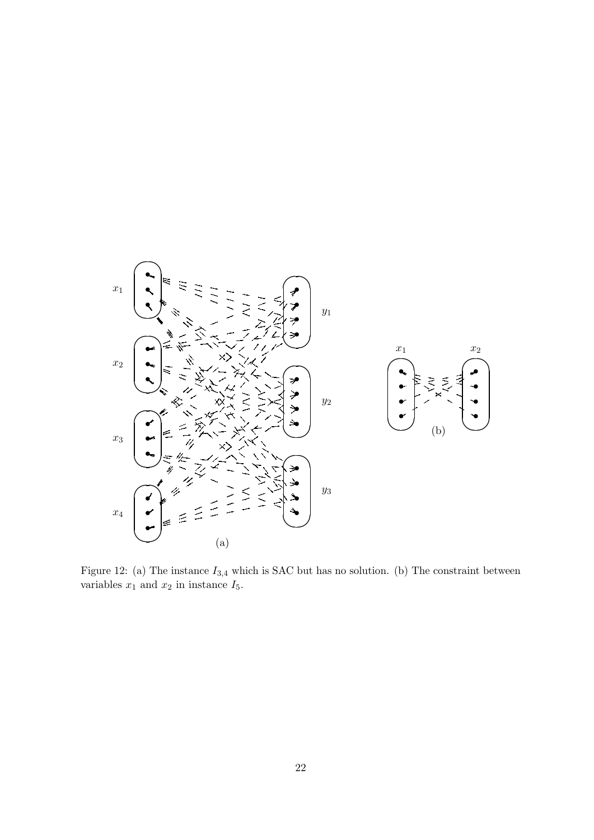

<span id="page-21-0"></span>Figure 12: (a) The instance  $I_{3,4}$  which is SAC but has no solution. (b) The constraint between variables  $x_1$  and  $x_2$  in instance  $I_5$ .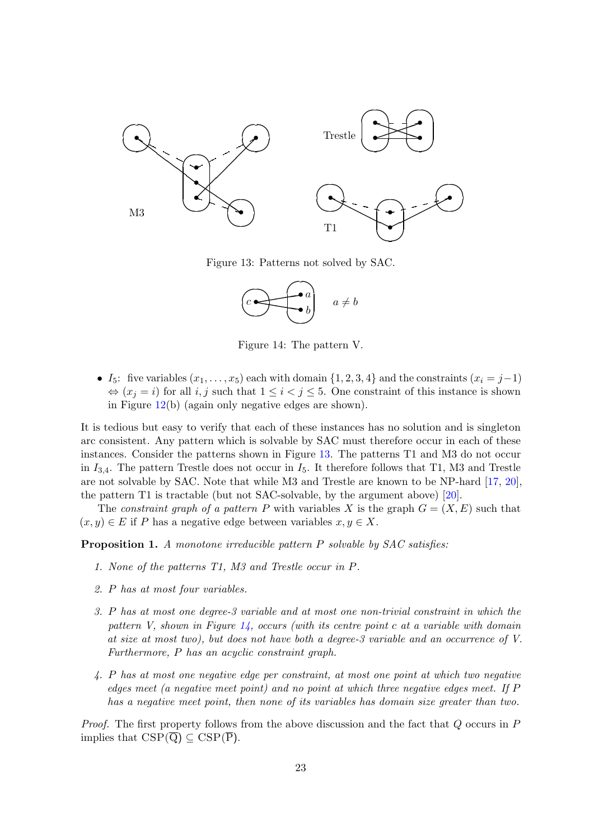

Figure 13: Patterns not solved by SAC.

<span id="page-22-0"></span>

<span id="page-22-1"></span>Figure 14: The pattern V.

• I<sub>5</sub>: five variables  $(x_1, \ldots, x_5)$  each with domain  $\{1, 2, 3, 4\}$  and the constraints  $(x_i = j-1)$  $\Leftrightarrow$   $(x_i = i)$  for all  $i, j$  such that  $1 \leq i < j \leq 5$ . One constraint of this instance is shown in Figure [12\(](#page-21-0)b) (again only negative edges are shown).

It is tedious but easy to verify that each of these instances has no solution and is singleton arc consistent. Any pattern which is solvable by SAC must therefore occur in each of these instances. Consider the patterns shown in Figure [13.](#page-22-0) The patterns T1 and M3 do not occur in  $I_{3,4}$ . The pattern Trestle does not occur in  $I_5$ . It therefore follows that T1, M3 and Trestle are not solvable by SAC. Note that while M3 and Trestle are known to be NP-hard [\[17,](#page-26-5) [20\]](#page-26-7), the pattern T1 is tractable (but not SAC-solvable, by the argument above) [\[20\]](#page-26-7).

The constraint graph of a pattern P with variables X is the graph  $G = (X, E)$  such that  $(x, y) \in E$  if P has a negative edge between variables  $x, y \in X$ .

<span id="page-22-2"></span>**Proposition 1.** A monotone irreducible pattern P solvable by SAC satisfies:

- 1. None of the patterns T1, M3 and Trestle occur in P.
- 2. P has at most four variables.
- 3. P has at most one degree-3 variable and at most one non-trivial constraint in which the pattern V, shown in Figure  $14$ , occurs (with its centre point c at a variable with domain at size at most two), but does not have both a degree-3 variable and an occurrence of V. Furthermore, P has an acyclic constraint graph.
- 4. P has at most one negative edge per constraint, at most one point at which two negative edges meet (a negative meet point) and no point at which three negative edges meet. If P has a negative meet point, then none of its variables has domain size greater than two.

Proof. The first property follows from the above discussion and the fact that Q occurs in P implies that  $CSP(\overline{Q}) \subseteq CSP(\overline{P})$ .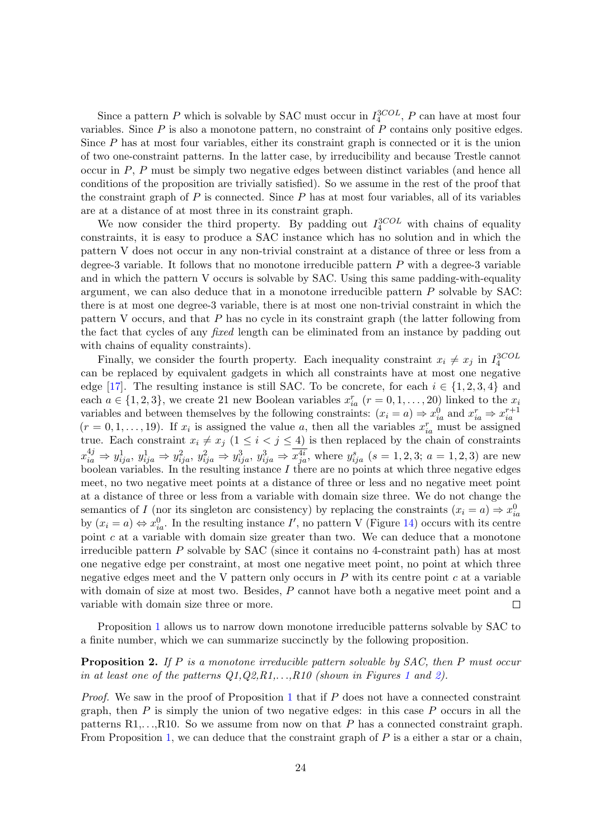Since a pattern P which is solvable by SAC must occur in  $I_4^{3COL}$ , P can have at most four variables. Since  $P$  is also a monotone pattern, no constraint of  $P$  contains only positive edges. Since  $P$  has at most four variables, either its constraint graph is connected or it is the union of two one-constraint patterns. In the latter case, by irreducibility and because Trestle cannot occur in P, P must be simply two negative edges between distinct variables (and hence all conditions of the proposition are trivially satisfied). So we assume in the rest of the proof that the constraint graph of  $P$  is connected. Since  $P$  has at most four variables, all of its variables are at a distance of at most three in its constraint graph.

We now consider the third property. By padding out  $I_4^{3COL}$  with chains of equality constraints, it is easy to produce a SAC instance which has no solution and in which the pattern V does not occur in any non-trivial constraint at a distance of three or less from a degree-3 variable. It follows that no monotone irreducible pattern  $P$  with a degree-3 variable and in which the pattern V occurs is solvable by SAC. Using this same padding-with-equality argument, we can also deduce that in a monotone irreducible pattern  $P$  solvable by SAC: there is at most one degree-3 variable, there is at most one non-trivial constraint in which the pattern V occurs, and that  $P$  has no cycle in its constraint graph (the latter following from the fact that cycles of any fixed length can be eliminated from an instance by padding out with chains of equality constraints).

Finally, we consider the fourth property. Each inequality constraint  $x_i \neq x_j$  in  $I_4^{3COL}$ can be replaced by equivalent gadgets in which all constraints have at most one negative edge [\[17\]](#page-26-5). The resulting instance is still SAC. To be concrete, for each  $i \in \{1, 2, 3, 4\}$  and each  $a \in \{1, 2, 3\}$ , we create 21 new Boolean variables  $x_{ia}^r$   $(r = 0, 1, ..., 20)$  linked to the  $x_i$ variables and between themselves by the following constraints:  $(x_i = a) \Rightarrow x_{ia}^0$  and  $x_{ia}^r \Rightarrow x_{ia}^{r+1}$  $(r = 0, 1, \ldots, 19)$ . If  $x_i$  is assigned the value a, then all the variables  $x_{ia}^r$  must be assigned true. Each constraint  $x_i \neq x_j$   $(1 \leq i < j \leq 4)$  is then replaced by the chain of constraints  $x_{ia}^{4j} \Rightarrow y_{ija}^{1}, y_{ija}^{1} \Rightarrow y_{ija}^{2}, y_{ija}^{2} \Rightarrow y_{ija}^{3}, y_{ija}^{3} \Rightarrow \overline{x_{ja}^{4i}}$ , where  $y_{ija}^{s}$  (s = 1, 2, 3; a = 1, 2, 3) are new boolean variables. In the resulting instance  $I$  there are no points at which three negative edges meet, no two negative meet points at a distance of three or less and no negative meet point at a distance of three or less from a variable with domain size three. We do not change the semantics of I (nor its singleton arc consistency) by replacing the constraints  $(x_i = a) \Rightarrow x_{ia}^0$ by  $(x_i = a) \Leftrightarrow x_{ia}^0$ . In the resulting instance I', no pattern V (Figure [14\)](#page-22-1) occurs with its centre point  $c$  at a variable with domain size greater than two. We can deduce that a monotone irreducible pattern P solvable by SAC (since it contains no 4-constraint path) has at most one negative edge per constraint, at most one negative meet point, no point at which three negative edges meet and the V pattern only occurs in  $P$  with its centre point  $c$  at a variable with domain of size at most two. Besides, P cannot have both a negative meet point and a variable with domain size three or more.  $\Box$ 

Proposition [1](#page-22-2) allows us to narrow down monotone irreducible patterns solvable by SAC to a finite number, which we can summarize succinctly by the following proposition.

#### <span id="page-23-0"></span>**Proposition 2.** If P is a monotone irreducible pattern solvable by SAC, then P must occur in at least one of the patterns  $Q_1, Q_2, R_1, \ldots, R_1$  $Q_1, Q_2, R_1, \ldots, R_1$  $Q_1, Q_2, R_1, \ldots, R_1$  (shown in Figures 1 and [2\)](#page-5-0).

*Proof.* We saw in the proof of Proposition [1](#page-22-2) that if  $P$  does not have a connected constraint graph, then  $P$  is simply the union of two negative edges: in this case  $P$  occurs in all the patterns  $R1, \ldots, R10$ . So we assume from now on that P has a connected constraint graph. From Proposition [1,](#page-22-2) we can deduce that the constraint graph of  $P$  is a either a star or a chain,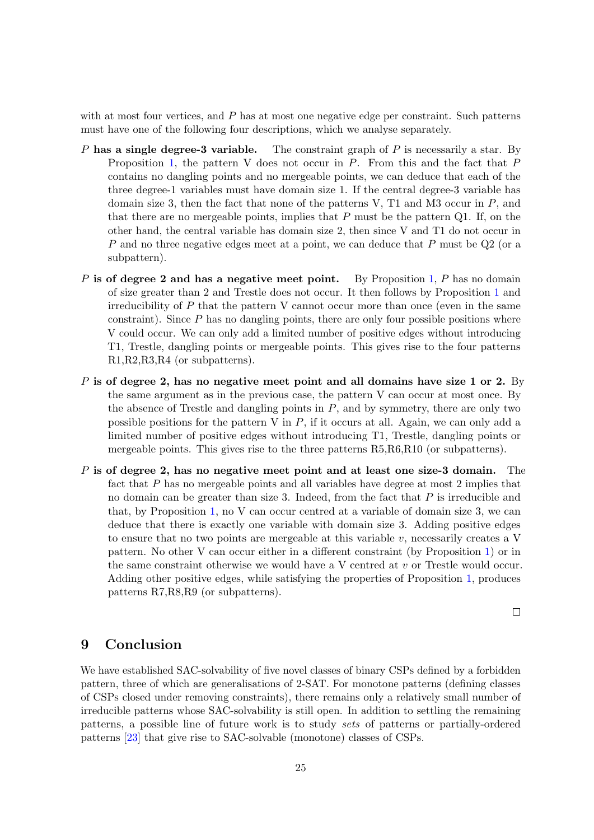with at most four vertices, and P has at most one negative edge per constraint. Such patterns must have one of the following four descriptions, which we analyse separately.

- P has a single degree-3 variable. The constraint graph of P is necessarily a star. By Proposition [1,](#page-22-2) the pattern V does not occur in P. From this and the fact that P contains no dangling points and no mergeable points, we can deduce that each of the three degree-1 variables must have domain size 1. If the central degree-3 variable has domain size 3, then the fact that none of the patterns V,  $T1$  and M3 occur in P, and that there are no mergeable points, implies that  $P$  must be the pattern Q1. If, on the other hand, the central variable has domain size 2, then since V and T1 do not occur in P and no three negative edges meet at a point, we can deduce that P must be Q2 (or a subpattern).
- P is of degree 2 and has a negative meet point. By Proposition [1,](#page-22-2) P has no domain of size greater than 2 and Trestle does not occur. It then follows by Proposition [1](#page-22-2) and irreducibility of  $P$  that the pattern V cannot occur more than once (even in the same constraint). Since  $P$  has no dangling points, there are only four possible positions where V could occur. We can only add a limited number of positive edges without introducing T1, Trestle, dangling points or mergeable points. This gives rise to the four patterns R1,R2,R3,R4 (or subpatterns).
- $P$  is of degree 2, has no negative meet point and all domains have size 1 or 2. By the same argument as in the previous case, the pattern V can occur at most once. By the absence of Trestle and dangling points in  $P$ , and by symmetry, there are only two possible positions for the pattern V in  $P$ , if it occurs at all. Again, we can only add a limited number of positive edges without introducing T1, Trestle, dangling points or mergeable points. This gives rise to the three patterns R5,R6,R10 (or subpatterns).
- $P$  is of degree 2, has no negative meet point and at least one size-3 domain. The fact that P has no mergeable points and all variables have degree at most 2 implies that no domain can be greater than size 3. Indeed, from the fact that  $P$  is irreducible and that, by Proposition [1,](#page-22-2) no V can occur centred at a variable of domain size 3, we can deduce that there is exactly one variable with domain size 3. Adding positive edges to ensure that no two points are mergeable at this variable  $v$ , necessarily creates a V pattern. No other V can occur either in a different constraint (by Proposition [1\)](#page-22-2) or in the same constraint otherwise we would have a V centred at v or Trestle would occur. Adding other positive edges, while satisfying the properties of Proposition [1,](#page-22-2) produces patterns R7,R8,R9 (or subpatterns).

 $\Box$ 

### <span id="page-24-0"></span>9 Conclusion

We have established SAC-solvability of five novel classes of binary CSPs defined by a forbidden pattern, three of which are generalisations of 2-SAT. For monotone patterns (defining classes of CSPs closed under removing constraints), there remains only a relatively small number of irreducible patterns whose SAC-solvability is still open. In addition to settling the remaining patterns, a possible line of future work is to study sets of patterns or partially-ordered patterns [\[23\]](#page-26-1) that give rise to SAC-solvable (monotone) classes of CSPs.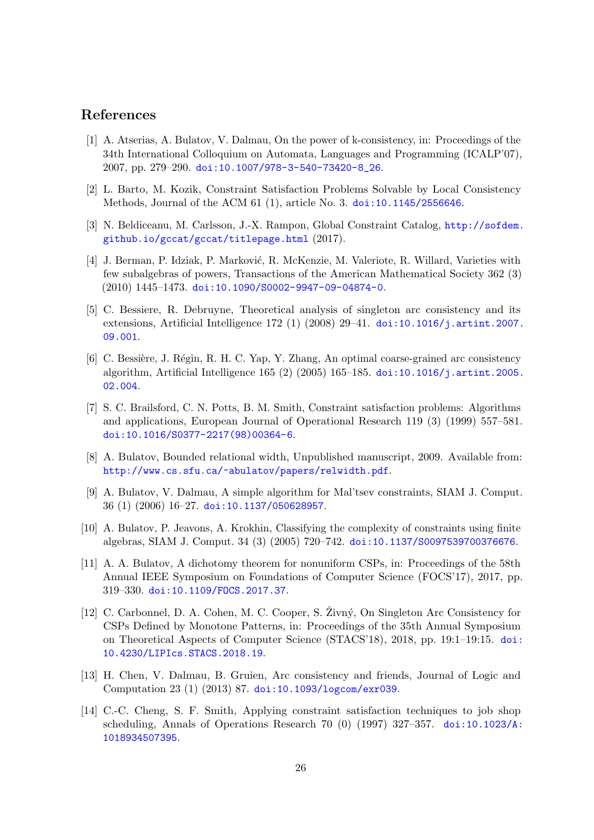### References

- <span id="page-25-11"></span>[1] A. Atserias, A. Bulatov, V. Dalmau, On the power of k-consistency, in: Proceedings of the 34th International Colloquium on Automata, Languages and Programming (ICALP'07), 2007, pp. 279–290. [doi:10.1007/978-3-540-73420-8\\_26](http://dx.doi.org/10.1007/978-3-540-73420-8_26).
- <span id="page-25-9"></span>[2] L. Barto, M. Kozik, Constraint Satisfaction Problems Solvable by Local Consistency Methods, Journal of the ACM 61 (1), article No. 3. [doi:10.1145/2556646](http://dx.doi.org/10.1145/2556646).
- <span id="page-25-2"></span>[3] N. Beldiceanu, M. Carlsson, J.-X. Rampon, Global Constraint Catalog, [http://sofdem.](http://sofdem.github.io/gccat/gccat/titlepage.html) [github.io/gccat/gccat/titlepage.html](http://sofdem.github.io/gccat/gccat/titlepage.html) (2017).
- <span id="page-25-8"></span>[4] J. Berman, P. Idziak, P. Marković, R. McKenzie, M. Valeriote, R. Willard, Varieties with few subalgebras of powers, Transactions of the American Mathematical Society 362 (3)  $(2010)$  1445-1473. [doi:10.1090/S0002-9947-09-04874-0](http://dx.doi.org/10.1090/S0002-9947-09-04874-0).
- <span id="page-25-13"></span>[5] C. Bessiere, R. Debruyne, Theoretical analysis of singleton arc consistency and its extensions, Artificial Intelligence 172 (1) (2008) 29–41. [doi:10.1016/j.artint.2007.](http://dx.doi.org/10.1016/j.artint.2007.09.001) [09.001](http://dx.doi.org/10.1016/j.artint.2007.09.001).
- <span id="page-25-12"></span>[6] C. Bessière, J. Régin, R. H. C. Yap, Y. Zhang, An optimal coarse-grained arc consistency algorithm, Artificial Intelligence 165 (2) (2005) 165–185. [doi:10.1016/j.artint.2005.](http://dx.doi.org/10.1016/j.artint.2005.02.004) [02.004](http://dx.doi.org/10.1016/j.artint.2005.02.004).
- <span id="page-25-3"></span>[7] S. C. Brailsford, C. N. Potts, B. M. Smith, Constraint satisfaction problems: Algorithms and applications, European Journal of Operational Research 119 (3) (1999) 557–581. [doi:10.1016/S0377-2217\(98\)00364-6](http://dx.doi.org/10.1016/S0377-2217(98)00364-6).
- <span id="page-25-10"></span>[8] A. Bulatov, Bounded relational width, Unpublished manuscript, 2009. Available from: <http://www.cs.sfu.ca/~abulatov/papers/relwidth.pdf>.
- <span id="page-25-7"></span>[9] A. Bulatov, V. Dalmau, A simple algorithm for Mal'tsev constraints, SIAM J. Comput. 36 (1) (2006) 16–27. [doi:10.1137/050628957](http://dx.doi.org/10.1137/050628957).
- <span id="page-25-6"></span>[10] A. Bulatov, P. Jeavons, A. Krokhin, Classifying the complexity of constraints using finite algebras, SIAM J. Comput. 34 (3) (2005) 720–742. [doi:10.1137/S0097539700376676](http://dx.doi.org/10.1137/S0097539700376676).
- <span id="page-25-5"></span>[11] A. A. Bulatov, A dichotomy theorem for nonuniform CSPs, in: Proceedings of the 58th Annual IEEE Symposium on Foundations of Computer Science (FOCS'17), 2017, pp. 319–330. [doi:10.1109/FOCS.2017.37](http://dx.doi.org/10.1109/FOCS.2017.37).
- <span id="page-25-1"></span>[12] C. Carbonnel, D. A. Cohen, M. C. Cooper, S. Zivný, On Singleton Arc Consistency for CSPs Defined by Monotone Patterns, in: Proceedings of the 35th Annual Symposium on Theoretical Aspects of Computer Science (STACS'18), 2018, pp. 19:1–19:15. [doi:](http://dx.doi.org/10.4230/LIPIcs.STACS.2018.19) [10.4230/LIPIcs.STACS.2018.19](http://dx.doi.org/10.4230/LIPIcs.STACS.2018.19).
- <span id="page-25-4"></span>[13] H. Chen, V. Dalmau, B. Gruien, Arc consistency and friends, Journal of Logic and Computation 23 (1) (2013) 87. [doi:10.1093/logcom/exr039](http://dx.doi.org/10.1093/logcom/exr039).
- <span id="page-25-0"></span>[14] C.-C. Cheng, S. F. Smith, Applying constraint satisfaction techniques to job shop scheduling, Annals of Operations Research 70 (0) (1997)  $327-357$ . [doi:10.1023/A:](http://dx.doi.org/10.1023/A:1018934507395) [1018934507395](http://dx.doi.org/10.1023/A:1018934507395).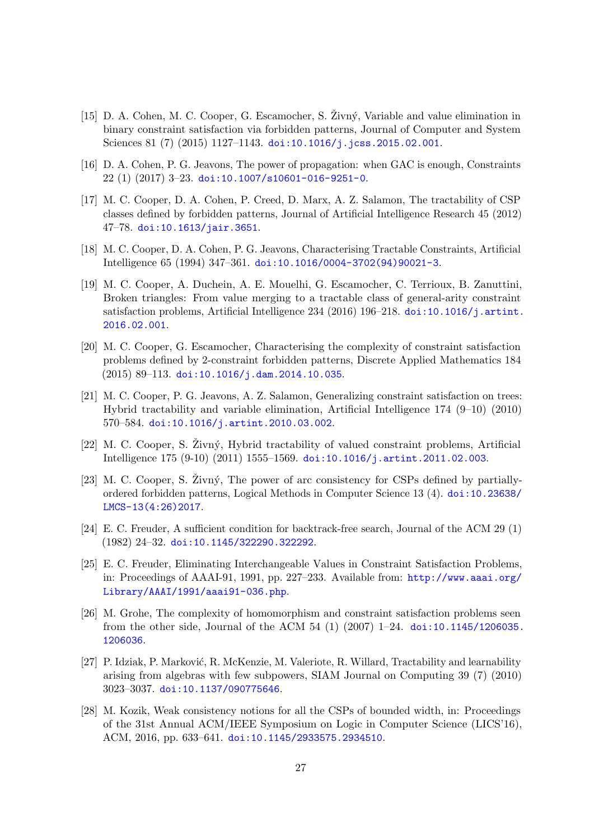- <span id="page-26-6"></span> $[15]$  D. A. Cohen, M. C. Cooper, G. Escamocher, S. Zivný, Variable and value elimination in binary constraint satisfaction via forbidden patterns, Journal of Computer and System Sciences 81 (7) (2015) 1127-1143. [doi:10.1016/j.jcss.2015.02.001](http://dx.doi.org/10.1016/j.jcss.2015.02.001).
- <span id="page-26-0"></span>[16] D. A. Cohen, P. G. Jeavons, The power of propagation: when GAC is enough, Constraints  $22(1)(2017)$  3-23. [doi:10.1007/s10601-016-9251-0](http://dx.doi.org/10.1007/s10601-016-9251-0).
- <span id="page-26-5"></span>[17] M. C. Cooper, D. A. Cohen, P. Creed, D. Marx, A. Z. Salamon, The tractability of CSP classes defined by forbidden patterns, Journal of Artificial Intelligence Research 45 (2012) 47–78. [doi:10.1613/jair.3651](http://dx.doi.org/10.1613/jair.3651).
- <span id="page-26-12"></span>[18] M. C. Cooper, D. A. Cohen, P. G. Jeavons, Characterising Tractable Constraints, Artificial Intelligence 65 (1994) 347–361. [doi:10.1016/0004-3702\(94\)90021-3](http://dx.doi.org/10.1016/0004-3702(94)90021-3).
- <span id="page-26-8"></span>[19] M. C. Cooper, A. Duchein, A. E. Mouelhi, G. Escamocher, C. Terrioux, B. Zanuttini, Broken triangles: From value merging to a tractable class of general-arity constraint satisfaction problems, Artificial Intelligence 234 (2016) 196–218. [doi:10.1016/j.artint.](http://dx.doi.org/10.1016/j.artint.2016.02.001) [2016.02.001](http://dx.doi.org/10.1016/j.artint.2016.02.001).
- <span id="page-26-7"></span>[20] M. C. Cooper, G. Escamocher, Characterising the complexity of constraint satisfaction problems defined by 2-constraint forbidden patterns, Discrete Applied Mathematics 184  $(2015)$  89-113. [doi:10.1016/j.dam.2014.10.035](http://dx.doi.org/10.1016/j.dam.2014.10.035).
- <span id="page-26-10"></span>[21] M. C. Cooper, P. G. Jeavons, A. Z. Salamon, Generalizing constraint satisfaction on trees: Hybrid tractability and variable elimination, Artificial Intelligence 174 (9–10) (2010) 570–584. [doi:10.1016/j.artint.2010.03.002](http://dx.doi.org/10.1016/j.artint.2010.03.002).
- <span id="page-26-11"></span> $[22]$  M. C. Cooper, S.  $\ddot{Z}$ ivný, Hybrid tractability of valued constraint problems, Artificial Intelligence 175 (9-10) (2011) 1555–1569. [doi:10.1016/j.artint.2011.02.003](http://dx.doi.org/10.1016/j.artint.2011.02.003).
- <span id="page-26-1"></span> $[23]$  M. C. Cooper, S.  $\check{Z}$ ivný, The power of arc consistency for CSPs defined by partiallyordered forbidden patterns, Logical Methods in Computer Science 13 (4). [doi:10.23638/](http://dx.doi.org/10.23638/LMCS-13(4:26)2017) [LMCS-13\(4:26\)2017](http://dx.doi.org/10.23638/LMCS-13(4:26)2017).
- <span id="page-26-13"></span>[24] E. C. Freuder, A sufficient condition for backtrack-free search, Journal of the ACM 29 (1) (1982) 24–32. [doi:10.1145/322290.322292](http://dx.doi.org/10.1145/322290.322292).
- <span id="page-26-9"></span>[25] E. C. Freuder, Eliminating Interchangeable Values in Constraint Satisfaction Problems, in: Proceedings of AAAI-91, 1991, pp. 227–233. Available from: [http://www.aaai.org/](http://www.aaai.org/Library/AAAI/1991/aaai91-036.php) [Library/AAAI/1991/aaai91-036.php](http://www.aaai.org/Library/AAAI/1991/aaai91-036.php).
- <span id="page-26-4"></span>[26] M. Grohe, The complexity of homomorphism and constraint satisfaction problems seen from the other side, Journal of the ACM 54 (1) (2007)  $1-24$ . [doi:10.1145/1206035.](http://dx.doi.org/10.1145/1206035.1206036) [1206036](http://dx.doi.org/10.1145/1206035.1206036).
- <span id="page-26-3"></span>[27] P. Idziak, P. Marković, R. McKenzie, M. Valeriote, R. Willard, Tractability and learnability arising from algebras with few subpowers, SIAM Journal on Computing 39 (7) (2010) 3023–3037. [doi:10.1137/090775646](http://dx.doi.org/10.1137/090775646).
- <span id="page-26-2"></span>[28] M. Kozik, Weak consistency notions for all the CSPs of bounded width, in: Proceedings of the 31st Annual ACM/IEEE Symposium on Logic in Computer Science (LICS'16), ACM, 2016, pp. 633–641. [doi:10.1145/2933575.2934510](http://dx.doi.org/10.1145/2933575.2934510).